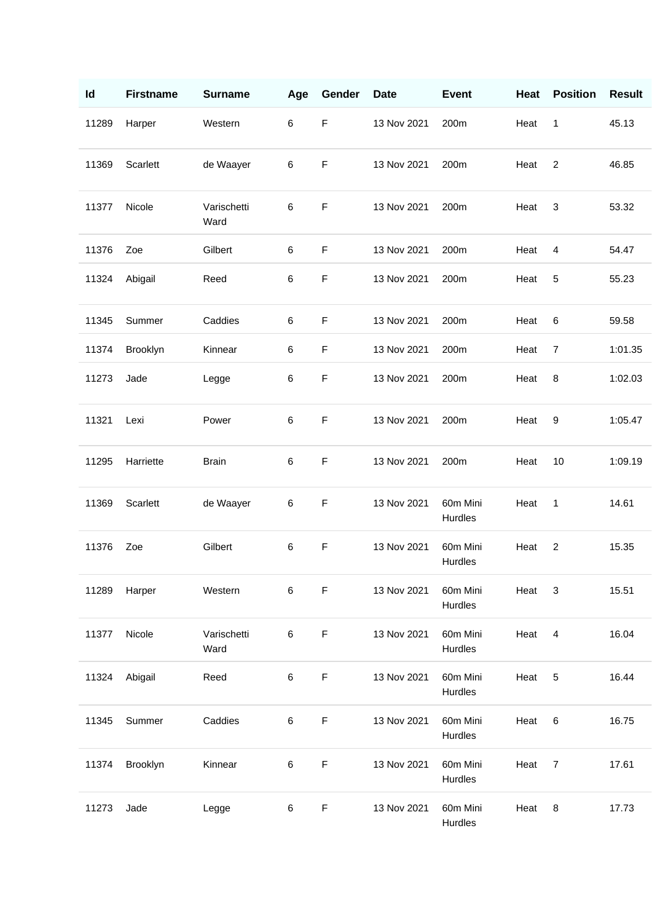| Id    | <b>Firstname</b> | <b>Surname</b>      | Age | Gender      | <b>Date</b> | <b>Event</b>        | Heat | <b>Position</b> | <b>Result</b> |
|-------|------------------|---------------------|-----|-------------|-------------|---------------------|------|-----------------|---------------|
| 11289 | Harper           | Western             | 6   | $\mathsf F$ | 13 Nov 2021 | 200m                | Heat | 1               | 45.13         |
| 11369 | Scarlett         | de Waayer           | 6   | $\mathsf F$ | 13 Nov 2021 | 200m                | Heat | $\overline{2}$  | 46.85         |
| 11377 | Nicole           | Varischetti<br>Ward | 6   | $\mathsf F$ | 13 Nov 2021 | 200m                | Heat | 3               | 53.32         |
| 11376 | Zoe              | Gilbert             | 6   | $\mathsf F$ | 13 Nov 2021 | 200m                | Heat | 4               | 54.47         |
| 11324 | Abigail          | Reed                | 6   | $\mathsf F$ | 13 Nov 2021 | 200m                | Heat | 5               | 55.23         |
| 11345 | Summer           | Caddies             | 6   | $\mathsf F$ | 13 Nov 2021 | 200m                | Heat | 6               | 59.58         |
| 11374 | Brooklyn         | Kinnear             | 6   | $\mathsf F$ | 13 Nov 2021 | 200m                | Heat | $\overline{7}$  | 1:01.35       |
| 11273 | Jade             | Legge               | 6   | $\mathsf F$ | 13 Nov 2021 | 200m                | Heat | 8               | 1:02.03       |
| 11321 | Lexi             | Power               | 6   | $\mathsf F$ | 13 Nov 2021 | 200m                | Heat | 9               | 1:05.47       |
| 11295 | Harriette        | <b>Brain</b>        | 6   | $\mathsf F$ | 13 Nov 2021 | 200m                | Heat | 10              | 1:09.19       |
| 11369 | Scarlett         | de Waayer           | 6   | $\mathsf F$ | 13 Nov 2021 | 60m Mini<br>Hurdles | Heat | 1               | 14.61         |
| 11376 | Zoe              | Gilbert             | 6   | $\mathsf F$ | 13 Nov 2021 | 60m Mini<br>Hurdles | Heat | $\overline{c}$  | 15.35         |
| 11289 | Harper           | Western             | 6   | $\mathsf F$ | 13 Nov 2021 | 60m Mini<br>Hurdles | Heat | 3               | 15.51         |
| 11377 | Nicole           | Varischetti<br>Ward | 6   | $\mathsf F$ | 13 Nov 2021 | 60m Mini<br>Hurdles | Heat | 4               | 16.04         |
| 11324 | Abigail          | Reed                | 6   | F           | 13 Nov 2021 | 60m Mini<br>Hurdles | Heat | 5               | 16.44         |
| 11345 | Summer           | Caddies             | 6   | $\mathsf F$ | 13 Nov 2021 | 60m Mini<br>Hurdles | Heat | 6               | 16.75         |
| 11374 | Brooklyn         | Kinnear             | 6   | $\mathsf F$ | 13 Nov 2021 | 60m Mini<br>Hurdles | Heat | $\overline{7}$  | 17.61         |
| 11273 | Jade             | Legge               | 6   | F           | 13 Nov 2021 | 60m Mini<br>Hurdles | Heat | 8               | 17.73         |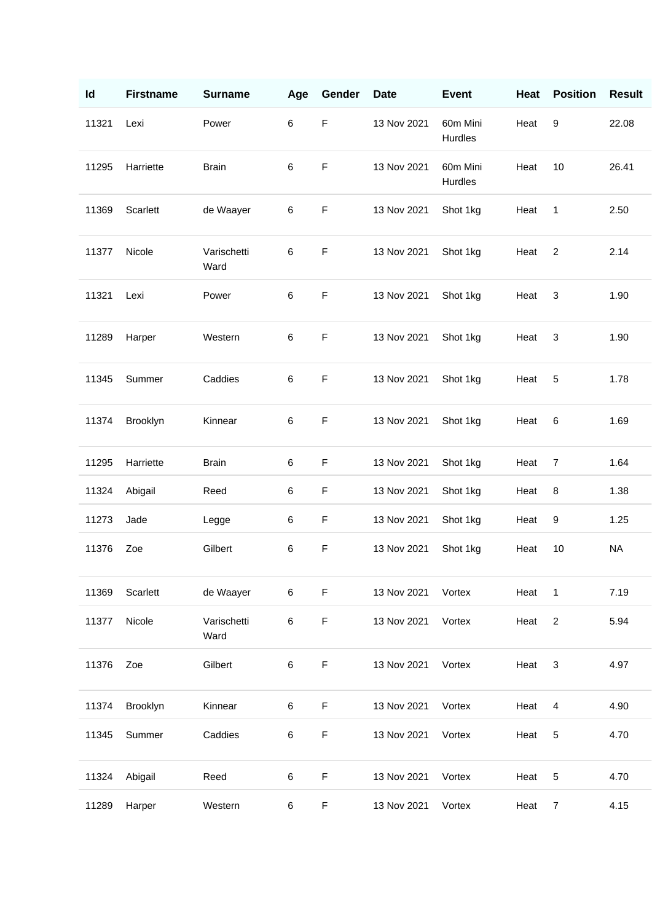| Id    | <b>Firstname</b> | <b>Surname</b>      | Age   | Gender      | <b>Date</b> | <b>Event</b>        | Heat | <b>Position</b> | <b>Result</b> |
|-------|------------------|---------------------|-------|-------------|-------------|---------------------|------|-----------------|---------------|
| 11321 | Lexi             | Power               | 6     | $\mathsf F$ | 13 Nov 2021 | 60m Mini<br>Hurdles | Heat | 9               | 22.08         |
| 11295 | Harriette        | <b>Brain</b>        | 6     | $\mathsf F$ | 13 Nov 2021 | 60m Mini<br>Hurdles | Heat | 10              | 26.41         |
| 11369 | Scarlett         | de Waayer           | 6     | F           | 13 Nov 2021 | Shot 1kg            | Heat | 1               | 2.50          |
| 11377 | Nicole           | Varischetti<br>Ward | 6     | $\mathsf F$ | 13 Nov 2021 | Shot 1kg            | Heat | $\overline{2}$  | 2.14          |
| 11321 | Lexi             | Power               | 6     | F           | 13 Nov 2021 | Shot 1kg            | Heat | 3               | 1.90          |
| 11289 | Harper           | Western             | 6     | $\mathsf F$ | 13 Nov 2021 | Shot 1kg            | Heat | 3               | 1.90          |
| 11345 | Summer           | Caddies             | 6     | $\mathsf F$ | 13 Nov 2021 | Shot 1kg            | Heat | 5               | 1.78          |
| 11374 | Brooklyn         | Kinnear             | 6     | F           | 13 Nov 2021 | Shot 1kg            | Heat | 6               | 1.69          |
| 11295 | Harriette        | <b>Brain</b>        | 6     | $\mathsf F$ | 13 Nov 2021 | Shot 1kg            | Heat | $\overline{7}$  | 1.64          |
| 11324 | Abigail          | Reed                | 6     | F           | 13 Nov 2021 | Shot 1kg            | Heat | 8               | 1.38          |
| 11273 | Jade             | Legge               | 6     | F           | 13 Nov 2021 | Shot 1kg            | Heat | 9               | 1.25          |
| 11376 | Zoe              | Gilbert             | 6     | $\mathsf F$ | 13 Nov 2021 | Shot 1kg            | Heat | 10              | <b>NA</b>     |
| 11369 | Scarlett         | de Waayer           | $\,6$ | $\mathsf F$ | 13 Nov 2021 | Vortex              | Heat | 1               | 7.19          |
| 11377 | Nicole           | Varischetti<br>Ward | 6     | $\mathsf F$ | 13 Nov 2021 | Vortex              | Heat | $\overline{2}$  | 5.94          |
| 11376 | Zoe              | Gilbert             | 6     | $\mathsf F$ | 13 Nov 2021 | Vortex              | Heat | $\mathbf{3}$    | 4.97          |
| 11374 | Brooklyn         | Kinnear             | 6     | $\mathsf F$ | 13 Nov 2021 | Vortex              | Heat | 4               | 4.90          |
| 11345 | Summer           | Caddies             | 6     | $\mathsf F$ | 13 Nov 2021 | Vortex              | Heat | 5               | 4.70          |
| 11324 | Abigail          | Reed                | 6     | $\mathsf F$ | 13 Nov 2021 | Vortex              | Heat | 5               | 4.70          |
| 11289 | Harper           | Western             | 6     | $\mathsf F$ | 13 Nov 2021 | Vortex              | Heat | $\overline{7}$  | 4.15          |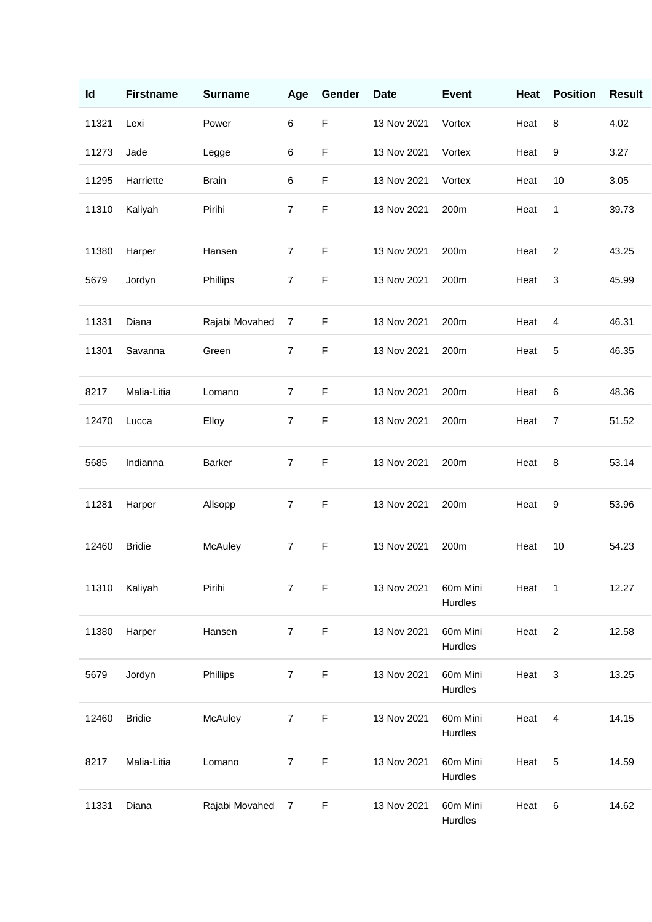| Id    | <b>Firstname</b> | <b>Surname</b> | Age            | Gender      | <b>Date</b> | <b>Event</b>        | Heat | <b>Position</b> | <b>Result</b> |
|-------|------------------|----------------|----------------|-------------|-------------|---------------------|------|-----------------|---------------|
| 11321 | Lexi             | Power          | 6              | $\mathsf F$ | 13 Nov 2021 | Vortex              | Heat | 8               | 4.02          |
| 11273 | Jade             | Legge          | 6              | $\mathsf F$ | 13 Nov 2021 | Vortex              | Heat | 9               | 3.27          |
| 11295 | Harriette        | <b>Brain</b>   | 6              | $\mathsf F$ | 13 Nov 2021 | Vortex              | Heat | 10              | 3.05          |
| 11310 | Kaliyah          | Pirihi         | $\overline{7}$ | F           | 13 Nov 2021 | 200m                | Heat | 1               | 39.73         |
| 11380 | Harper           | Hansen         | $\overline{7}$ | F           | 13 Nov 2021 | 200m                | Heat | $\overline{c}$  | 43.25         |
| 5679  | Jordyn           | Phillips       | $\overline{7}$ | $\mathsf F$ | 13 Nov 2021 | 200m                | Heat | $\sqrt{3}$      | 45.99         |
| 11331 | Diana            | Rajabi Movahed | $\overline{7}$ | F           | 13 Nov 2021 | 200m                | Heat | 4               | 46.31         |
| 11301 | Savanna          | Green          | $\overline{7}$ | $\mathsf F$ | 13 Nov 2021 | 200m                | Heat | 5               | 46.35         |
| 8217  | Malia-Litia      | Lomano         | $\overline{7}$ | $\mathsf F$ | 13 Nov 2021 | 200m                | Heat | 6               | 48.36         |
| 12470 | Lucca            | Elloy          | $\overline{7}$ | F           | 13 Nov 2021 | 200m                | Heat | 7               | 51.52         |
| 5685  | Indianna         | <b>Barker</b>  | $\overline{7}$ | $\mathsf F$ | 13 Nov 2021 | 200m                | Heat | 8               | 53.14         |
| 11281 | Harper           | Allsopp        | $\overline{7}$ | F           | 13 Nov 2021 | 200m                | Heat | 9               | 53.96         |
| 12460 | <b>Bridie</b>    | McAuley        | $\overline{7}$ | $\mathsf F$ | 13 Nov 2021 | 200m                | Heat | 10              | 54.23         |
| 11310 | Kaliyah          | Pirihi         | $\overline{7}$ | $\mathsf F$ | 13 Nov 2021 | 60m Mini<br>Hurdles | Heat | $\mathbf{1}$    | 12.27         |
| 11380 | Harper           | Hansen         | $\overline{7}$ | $\mathsf F$ | 13 Nov 2021 | 60m Mini<br>Hurdles | Heat | $\overline{2}$  | 12.58         |
| 5679  | Jordyn           | Phillips       | 7              | F           | 13 Nov 2021 | 60m Mini<br>Hurdles | Heat | 3               | 13.25         |
| 12460 | <b>Bridie</b>    | McAuley        | $\overline{7}$ | F           | 13 Nov 2021 | 60m Mini<br>Hurdles | Heat | 4               | 14.15         |
| 8217  | Malia-Litia      | Lomano         | $\overline{7}$ | $\mathsf F$ | 13 Nov 2021 | 60m Mini<br>Hurdles | Heat | 5               | 14.59         |
| 11331 | Diana            | Rajabi Movahed | $\overline{7}$ | $\mathsf F$ | 13 Nov 2021 | 60m Mini<br>Hurdles | Heat | 6               | 14.62         |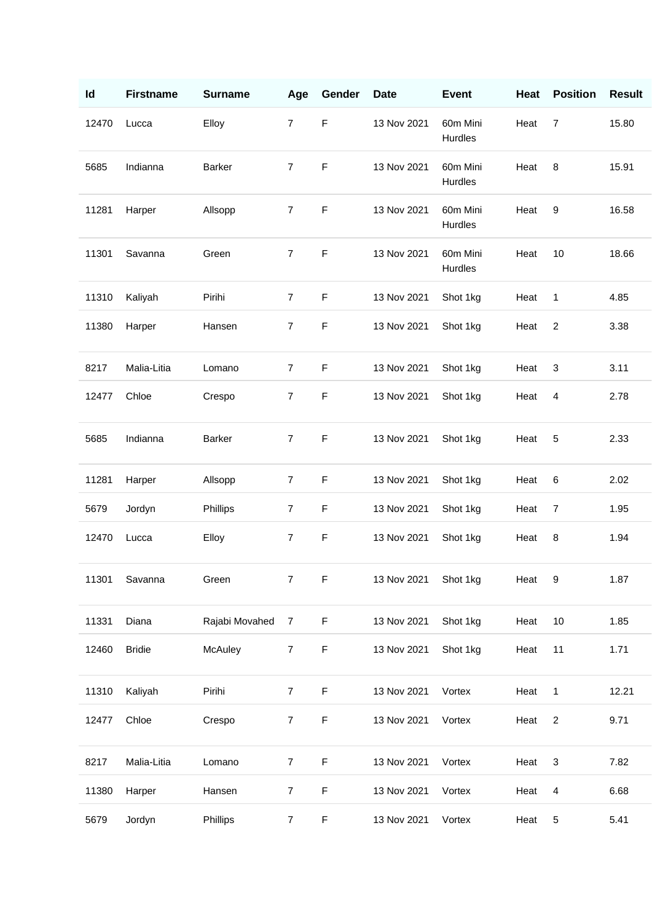| Id    | <b>Firstname</b> | <b>Surname</b> | Age            | Gender      | <b>Date</b> | <b>Event</b>        | Heat | <b>Position</b> | <b>Result</b> |
|-------|------------------|----------------|----------------|-------------|-------------|---------------------|------|-----------------|---------------|
| 12470 | Lucca            | Elloy          | 7              | F           | 13 Nov 2021 | 60m Mini<br>Hurdles | Heat | $\overline{7}$  | 15.80         |
| 5685  | Indianna         | <b>Barker</b>  | $\overline{7}$ | $\mathsf F$ | 13 Nov 2021 | 60m Mini<br>Hurdles | Heat | 8               | 15.91         |
| 11281 | Harper           | Allsopp        | $\overline{7}$ | $\mathsf F$ | 13 Nov 2021 | 60m Mini<br>Hurdles | Heat | 9               | 16.58         |
| 11301 | Savanna          | Green          | $\overline{7}$ | $\mathsf F$ | 13 Nov 2021 | 60m Mini<br>Hurdles | Heat | 10              | 18.66         |
| 11310 | Kaliyah          | Pirihi         | $\overline{7}$ | F           | 13 Nov 2021 | Shot 1kg            | Heat | 1               | 4.85          |
| 11380 | Harper           | Hansen         | $\overline{7}$ | $\mathsf F$ | 13 Nov 2021 | Shot 1kg            | Heat | $\overline{2}$  | 3.38          |
| 8217  | Malia-Litia      | Lomano         | $\overline{7}$ | F           | 13 Nov 2021 | Shot 1kg            | Heat | 3               | 3.11          |
| 12477 | Chloe            | Crespo         | $\overline{7}$ | $\mathsf F$ | 13 Nov 2021 | Shot 1kg            | Heat | $\overline{4}$  | 2.78          |
| 5685  | Indianna         | <b>Barker</b>  | $\overline{7}$ | $\mathsf F$ | 13 Nov 2021 | Shot 1kg            | Heat | 5               | 2.33          |
| 11281 | Harper           | Allsopp        | 7              | F           | 13 Nov 2021 | Shot 1kg            | Heat | 6               | 2.02          |
| 5679  | Jordyn           | Phillips       | $\overline{7}$ | $\mathsf F$ | 13 Nov 2021 | Shot 1kg            | Heat | $\overline{7}$  | 1.95          |
| 12470 | Lucca            | Elloy          | $\overline{7}$ | $\mathsf F$ | 13 Nov 2021 | Shot 1kg            | Heat | 8               | 1.94          |
| 11301 | Savanna          | Green          | $\overline{7}$ | F           | 13 Nov 2021 | Shot 1kg            | Heat | 9               | 1.87          |
| 11331 | Diana            | Rajabi Movahed | $\overline{7}$ | F           | 13 Nov 2021 | Shot 1kg            | Heat | 10              | 1.85          |
| 12460 | <b>Bridie</b>    | McAuley        | $\overline{7}$ | F           | 13 Nov 2021 | Shot 1kg            | Heat | 11              | 1.71          |
| 11310 | Kaliyah          | Pirihi         | $\overline{7}$ | F           | 13 Nov 2021 | Vortex              | Heat | 1               | 12.21         |
| 12477 | Chloe            | Crespo         | $\overline{7}$ | F           | 13 Nov 2021 | Vortex              | Heat | $\overline{2}$  | 9.71          |
| 8217  | Malia-Litia      | Lomano         | $\overline{7}$ | F           | 13 Nov 2021 | Vortex              | Heat | 3               | 7.82          |
| 11380 | Harper           | Hansen         | $\overline{7}$ | F           | 13 Nov 2021 | Vortex              | Heat | $\overline{4}$  | 6.68          |
| 5679  | Jordyn           | Phillips       | $\overline{7}$ | F           | 13 Nov 2021 | Vortex              | Heat | 5               | 5.41          |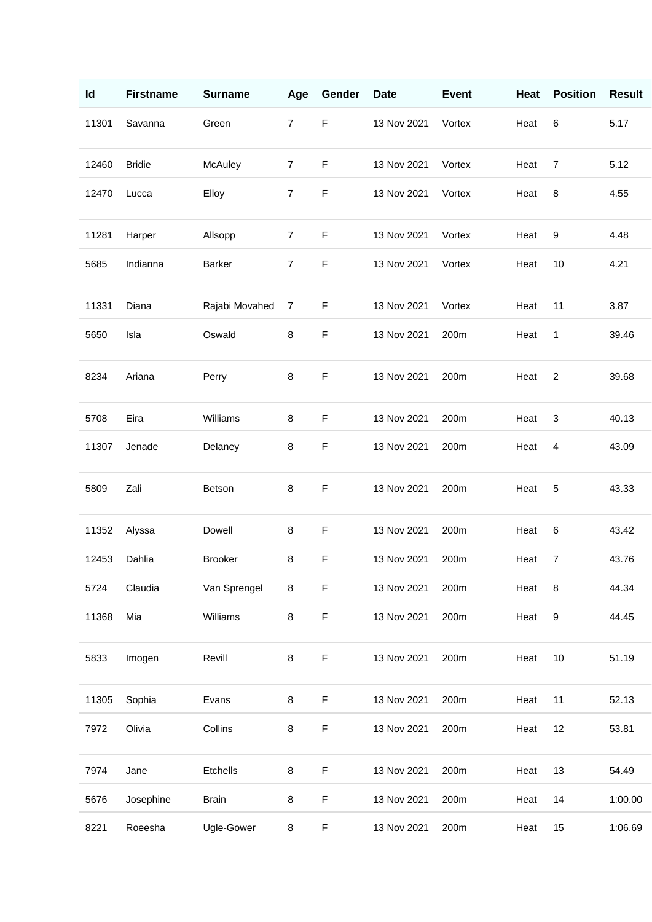| Id    | <b>Firstname</b> | <b>Surname</b> | Age            | Gender      | <b>Date</b> | <b>Event</b> | Heat | <b>Position</b>  | <b>Result</b> |
|-------|------------------|----------------|----------------|-------------|-------------|--------------|------|------------------|---------------|
| 11301 | Savanna          | Green          | $\overline{7}$ | $\mathsf F$ | 13 Nov 2021 | Vortex       | Heat | 6                | 5.17          |
| 12460 | <b>Bridie</b>    | McAuley        | $\overline{7}$ | $\mathsf F$ | 13 Nov 2021 | Vortex       | Heat | $\overline{7}$   | 5.12          |
| 12470 | Lucca            | Elloy          | $\overline{7}$ | $\mathsf F$ | 13 Nov 2021 | Vortex       | Heat | 8                | 4.55          |
| 11281 | Harper           | Allsopp        | $\overline{7}$ | $\mathsf F$ | 13 Nov 2021 | Vortex       | Heat | 9                | 4.48          |
| 5685  | Indianna         | <b>Barker</b>  | $\overline{7}$ | F           | 13 Nov 2021 | Vortex       | Heat | 10               | 4.21          |
| 11331 | Diana            | Rajabi Movahed | $\overline{7}$ | F           | 13 Nov 2021 | Vortex       | Heat | 11               | 3.87          |
| 5650  | Isla             | Oswald         | 8              | F           | 13 Nov 2021 | 200m         | Heat | 1                | 39.46         |
| 8234  | Ariana           | Perry          | 8              | $\mathsf F$ | 13 Nov 2021 | 200m         | Heat | $\overline{2}$   | 39.68         |
| 5708  | Eira             | Williams       | 8              | $\mathsf F$ | 13 Nov 2021 | 200m         | Heat | $\sqrt{3}$       | 40.13         |
| 11307 | Jenade           | Delaney        | 8              | F           | 13 Nov 2021 | 200m         | Heat | 4                | 43.09         |
| 5809  | Zali             | Betson         | 8              | $\mathsf F$ | 13 Nov 2021 | 200m         | Heat | 5                | 43.33         |
| 11352 | Alyssa           | Dowell         | 8              | $\mathsf F$ | 13 Nov 2021 | 200m         | Heat | 6                | 43.42         |
| 12453 | Dahlia           | <b>Brooker</b> | 8              | $\mathsf F$ | 13 Nov 2021 | 200m         | Heat | $\overline{7}$   | 43.76         |
| 5724  | Claudia          | Van Sprengel   | 8              | $\mathsf F$ | 13 Nov 2021 | 200m         | Heat | 8                | 44.34         |
| 11368 | Mia              | Williams       | 8              | $\mathsf F$ | 13 Nov 2021 | 200m         | Heat | $\boldsymbol{9}$ | 44.45         |
| 5833  | Imogen           | Revill         | 8              | $\mathsf F$ | 13 Nov 2021 | 200m         | Heat | 10               | 51.19         |
| 11305 | Sophia           | Evans          | 8              | $\mathsf F$ | 13 Nov 2021 | 200m         | Heat | 11               | 52.13         |
| 7972  | Olivia           | Collins        | 8              | F           | 13 Nov 2021 | 200m         | Heat | 12               | 53.81         |
| 7974  | Jane             | Etchells       | 8              | F           | 13 Nov 2021 | 200m         | Heat | 13               | 54.49         |
| 5676  | Josephine        | <b>Brain</b>   | 8              | F           | 13 Nov 2021 | 200m         | Heat | 14               | 1:00.00       |
| 8221  | Roeesha          | Ugle-Gower     | 8              | F           | 13 Nov 2021 | 200m         | Heat | 15               | 1:06.69       |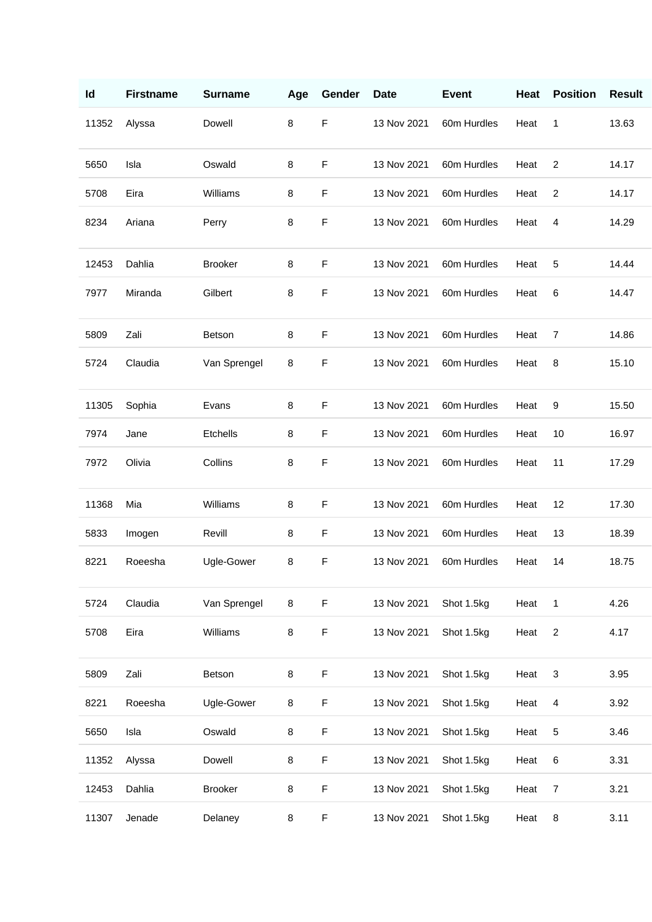| Id    | <b>Firstname</b> | <b>Surname</b> | Age | Gender      | <b>Date</b> | <b>Event</b> | Heat | <b>Position</b> | <b>Result</b> |
|-------|------------------|----------------|-----|-------------|-------------|--------------|------|-----------------|---------------|
| 11352 | Alyssa           | Dowell         | 8   | $\mathsf F$ | 13 Nov 2021 | 60m Hurdles  | Heat | 1               | 13.63         |
| 5650  | Isla             | Oswald         | 8   | $\mathsf F$ | 13 Nov 2021 | 60m Hurdles  | Heat | $\overline{2}$  | 14.17         |
| 5708  | Eira             | Williams       | 8   | $\mathsf F$ | 13 Nov 2021 | 60m Hurdles  | Heat | $\overline{2}$  | 14.17         |
| 8234  | Ariana           | Perry          | 8   | F           | 13 Nov 2021 | 60m Hurdles  | Heat | 4               | 14.29         |
| 12453 | Dahlia           | <b>Brooker</b> | 8   | F           | 13 Nov 2021 | 60m Hurdles  | Heat | 5               | 14.44         |
| 7977  | Miranda          | Gilbert        | 8   | $\mathsf F$ | 13 Nov 2021 | 60m Hurdles  | Heat | 6               | 14.47         |
| 5809  | Zali             | <b>Betson</b>  | 8   | $\mathsf F$ | 13 Nov 2021 | 60m Hurdles  | Heat | 7               | 14.86         |
| 5724  | Claudia          | Van Sprengel   | 8   | F           | 13 Nov 2021 | 60m Hurdles  | Heat | 8               | 15.10         |
| 11305 | Sophia           | Evans          | 8   | $\mathsf F$ | 13 Nov 2021 | 60m Hurdles  | Heat | 9               | 15.50         |
| 7974  | Jane             | Etchells       | 8   | F           | 13 Nov 2021 | 60m Hurdles  | Heat | 10              | 16.97         |
| 7972  | Olivia           | Collins        | 8   | F           | 13 Nov 2021 | 60m Hurdles  | Heat | 11              | 17.29         |
| 11368 | Mia              | Williams       | 8   | F           | 13 Nov 2021 | 60m Hurdles  | Heat | 12              | 17.30         |
| 5833  | Imogen           | Revill         | 8   | F           | 13 Nov 2021 | 60m Hurdles  | Heat | 13              | 18.39         |
| 8221  | Roeesha          | Ugle-Gower     | 8   | $\mathsf F$ | 13 Nov 2021 | 60m Hurdles  | Heat | 14              | 18.75         |
| 5724  | Claudia          | Van Sprengel   | 8   | $\mathsf F$ | 13 Nov 2021 | Shot 1.5kg   | Heat | 1               | 4.26          |
| 5708  | Eira             | Williams       | 8   | $\mathsf F$ | 13 Nov 2021 | Shot 1.5kg   | Heat | $\overline{2}$  | 4.17          |
| 5809  | Zali             | Betson         | 8   | $\mathsf F$ | 13 Nov 2021 | Shot 1.5kg   | Heat | $\mathbf{3}$    | 3.95          |
| 8221  | Roeesha          | Ugle-Gower     | 8   | F           | 13 Nov 2021 | Shot 1.5kg   | Heat | 4               | 3.92          |
| 5650  | Isla             | Oswald         | 8   | F           | 13 Nov 2021 | Shot 1.5kg   | Heat | 5               | 3.46          |
| 11352 | Alyssa           | Dowell         | 8   | F           | 13 Nov 2021 | Shot 1.5kg   | Heat | 6               | 3.31          |
| 12453 | Dahlia           | <b>Brooker</b> | 8   | F           | 13 Nov 2021 | Shot 1.5kg   | Heat | 7               | 3.21          |
| 11307 | Jenade           | Delaney        | 8   | $\mathsf F$ | 13 Nov 2021 | Shot 1.5kg   | Heat | 8               | 3.11          |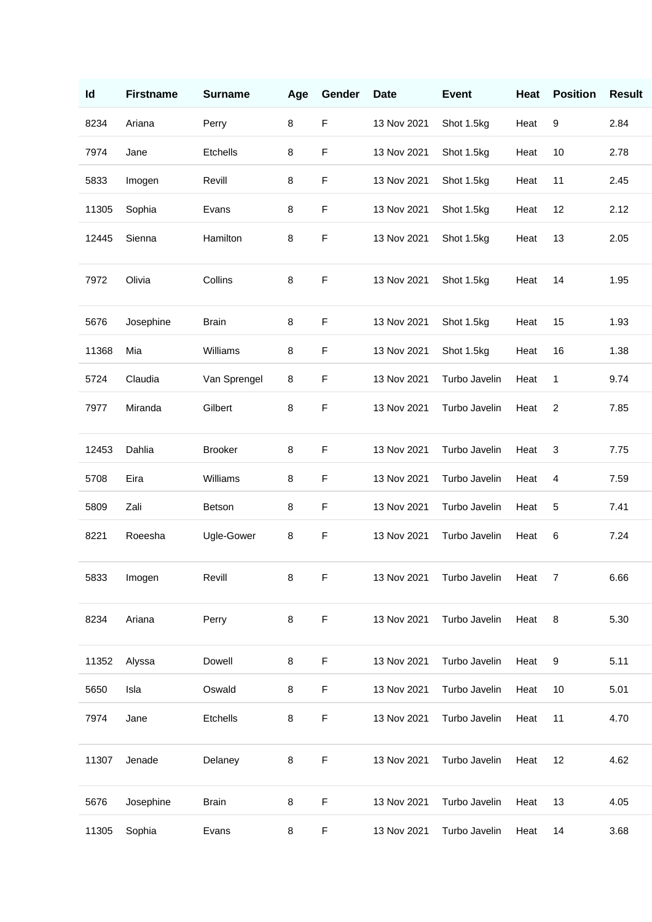| Id    | <b>Firstname</b> | <b>Surname</b>  | Age | Gender      | <b>Date</b> | <b>Event</b>  | Heat | <b>Position</b>         | <b>Result</b> |
|-------|------------------|-----------------|-----|-------------|-------------|---------------|------|-------------------------|---------------|
| 8234  | Ariana           | Perry           | 8   | $\mathsf F$ | 13 Nov 2021 | Shot 1.5kg    | Heat | 9                       | 2.84          |
| 7974  | Jane             | <b>Etchells</b> | 8   | $\mathsf F$ | 13 Nov 2021 | Shot 1.5kg    | Heat | 10                      | 2.78          |
| 5833  | Imogen           | Revill          | 8   | $\mathsf F$ | 13 Nov 2021 | Shot 1.5kg    | Heat | 11                      | 2.45          |
| 11305 | Sophia           | Evans           | 8   | $\mathsf F$ | 13 Nov 2021 | Shot 1.5kg    | Heat | 12                      | 2.12          |
| 12445 | Sienna           | Hamilton        | 8   | $\mathsf F$ | 13 Nov 2021 | Shot 1.5kg    | Heat | 13                      | 2.05          |
| 7972  | Olivia           | Collins         | 8   | $\mathsf F$ | 13 Nov 2021 | Shot 1.5kg    | Heat | 14                      | 1.95          |
| 5676  | Josephine        | <b>Brain</b>    | 8   | $\mathsf F$ | 13 Nov 2021 | Shot 1.5kg    | Heat | 15                      | 1.93          |
| 11368 | Mia              | Williams        | 8   | $\mathsf F$ | 13 Nov 2021 | Shot 1.5kg    | Heat | 16                      | 1.38          |
| 5724  | Claudia          | Van Sprengel    | 8   | $\mathsf F$ | 13 Nov 2021 | Turbo Javelin | Heat | 1                       | 9.74          |
| 7977  | Miranda          | Gilbert         | 8   | $\mathsf F$ | 13 Nov 2021 | Turbo Javelin | Heat | $\overline{\mathbf{c}}$ | 7.85          |
| 12453 | Dahlia           | <b>Brooker</b>  | 8   | $\mathsf F$ | 13 Nov 2021 | Turbo Javelin | Heat | 3                       | 7.75          |
| 5708  | Eira             | Williams        | 8   | $\mathsf F$ | 13 Nov 2021 | Turbo Javelin | Heat | 4                       | 7.59          |
| 5809  | Zali             | Betson          | 8   | $\mathsf F$ | 13 Nov 2021 | Turbo Javelin | Heat | 5                       | 7.41          |
| 8221  | Roeesha          | Ugle-Gower      | 8   | $\mathsf F$ | 13 Nov 2021 | Turbo Javelin | Heat | 6                       | 7.24          |
| 5833  | Imogen           | Revill          | 8   | F           | 13 Nov 2021 | Turbo Javelin | Heat | $\overline{7}$          | 6.66          |
| 8234  | Ariana           | Perry           | 8   | $\mathsf F$ | 13 Nov 2021 | Turbo Javelin | Heat | 8                       | 5.30          |
| 11352 | Alyssa           | Dowell          | 8   | $\mathsf F$ | 13 Nov 2021 | Turbo Javelin | Heat | 9                       | 5.11          |
| 5650  | Isla             | Oswald          | 8   | F           | 13 Nov 2021 | Turbo Javelin | Heat | 10                      | 5.01          |
| 7974  | Jane             | Etchells        | 8   | $\mathsf F$ | 13 Nov 2021 | Turbo Javelin | Heat | 11                      | 4.70          |
| 11307 | Jenade           | Delaney         | 8   | $\mathsf F$ | 13 Nov 2021 | Turbo Javelin | Heat | 12                      | 4.62          |
| 5676  | Josephine        | <b>Brain</b>    | 8   | F           | 13 Nov 2021 | Turbo Javelin | Heat | 13                      | 4.05          |
| 11305 | Sophia           | Evans           | 8   | F           | 13 Nov 2021 | Turbo Javelin | Heat | 14                      | 3.68          |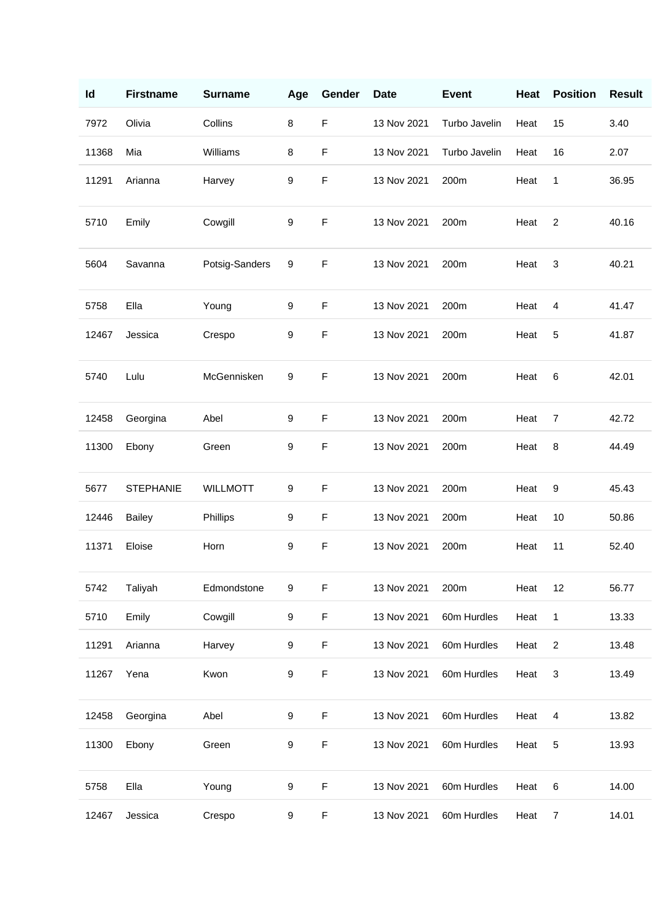| Id    | <b>Firstname</b> | <b>Surname</b>  | Age | Gender      | <b>Date</b> | <b>Event</b>  | Heat | <b>Position</b>           | <b>Result</b> |
|-------|------------------|-----------------|-----|-------------|-------------|---------------|------|---------------------------|---------------|
| 7972  | Olivia           | Collins         | 8   | $\mathsf F$ | 13 Nov 2021 | Turbo Javelin | Heat | 15                        | 3.40          |
| 11368 | Mia              | Williams        | 8   | $\mathsf F$ | 13 Nov 2021 | Turbo Javelin | Heat | 16                        | 2.07          |
| 11291 | Arianna          | Harvey          | 9   | $\mathsf F$ | 13 Nov 2021 | 200m          | Heat | 1                         | 36.95         |
| 5710  | Emily            | Cowgill         | 9   | $\mathsf F$ | 13 Nov 2021 | 200m          | Heat | $\overline{2}$            | 40.16         |
| 5604  | Savanna          | Potsig-Sanders  | 9   | $\mathsf F$ | 13 Nov 2021 | 200m          | Heat | 3                         | 40.21         |
| 5758  | Ella             | Young           | 9   | $\mathsf F$ | 13 Nov 2021 | 200m          | Heat | 4                         | 41.47         |
| 12467 | Jessica          | Crespo          | 9   | $\mathsf F$ | 13 Nov 2021 | 200m          | Heat | 5                         | 41.87         |
| 5740  | Lulu             | McGennisken     | 9   | $\mathsf F$ | 13 Nov 2021 | 200m          | Heat | 6                         | 42.01         |
| 12458 | Georgina         | Abel            | 9   | $\mathsf F$ | 13 Nov 2021 | 200m          | Heat | 7                         | 42.72         |
| 11300 | Ebony            | Green           | 9   | $\mathsf F$ | 13 Nov 2021 | 200m          | Heat | 8                         | 44.49         |
| 5677  | <b>STEPHANIE</b> | <b>WILLMOTT</b> | 9   | $\mathsf F$ | 13 Nov 2021 | 200m          | Heat | 9                         | 45.43         |
| 12446 | Bailey           | Phillips        | 9   | $\mathsf F$ | 13 Nov 2021 | 200m          | Heat | 10                        | 50.86         |
| 11371 | Eloise           | Horn            | 9   | $\mathsf F$ | 13 Nov 2021 | 200m          | Heat | 11                        | 52.40         |
| 5742  | Taliyah          | Edmondstone     | 9   | $\mathsf F$ | 13 Nov 2021 | 200m          | Heat | 12                        | 56.77         |
| 5710  | Emily            | Cowgill         | 9   | $\mathsf F$ | 13 Nov 2021 | 60m Hurdles   | Heat | $\mathbf{1}$              | 13.33         |
| 11291 | Arianna          | Harvey          | 9   | $\mathsf F$ | 13 Nov 2021 | 60m Hurdles   | Heat | $\overline{2}$            | 13.48         |
| 11267 | Yena             | Kwon            | 9   | $\mathsf F$ | 13 Nov 2021 | 60m Hurdles   | Heat | $\ensuremath{\mathsf{3}}$ | 13.49         |
| 12458 | Georgina         | Abel            | 9   | $\mathsf F$ | 13 Nov 2021 | 60m Hurdles   | Heat | 4                         | 13.82         |
| 11300 | Ebony            | Green           | 9   | $\mathsf F$ | 13 Nov 2021 | 60m Hurdles   | Heat | $\sqrt{5}$                | 13.93         |
| 5758  | Ella             | Young           | 9   | $\mathsf F$ | 13 Nov 2021 | 60m Hurdles   | Heat | 6                         | 14.00         |
| 12467 | Jessica          | Crespo          | 9   | $\mathsf F$ | 13 Nov 2021 | 60m Hurdles   | Heat | $\overline{7}$            | 14.01         |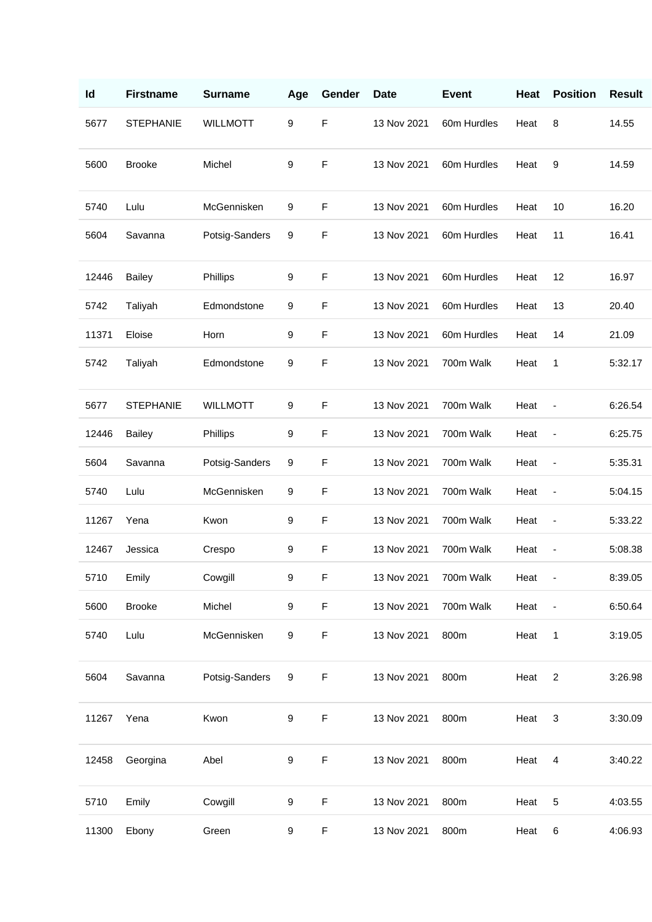| Id    | <b>Firstname</b> | <b>Surname</b>  | Age | Gender      | <b>Date</b> | <b>Event</b> | Heat | <b>Position</b>              | <b>Result</b> |
|-------|------------------|-----------------|-----|-------------|-------------|--------------|------|------------------------------|---------------|
| 5677  | <b>STEPHANIE</b> | <b>WILLMOTT</b> | 9   | $\mathsf F$ | 13 Nov 2021 | 60m Hurdles  | Heat | 8                            | 14.55         |
| 5600  | <b>Brooke</b>    | Michel          | 9   | $\mathsf F$ | 13 Nov 2021 | 60m Hurdles  | Heat | 9                            | 14.59         |
| 5740  | Lulu             | McGennisken     | 9   | $\mathsf F$ | 13 Nov 2021 | 60m Hurdles  | Heat | 10                           | 16.20         |
| 5604  | Savanna          | Potsig-Sanders  | 9   | $\mathsf F$ | 13 Nov 2021 | 60m Hurdles  | Heat | 11                           | 16.41         |
| 12446 | <b>Bailey</b>    | Phillips        | 9   | $\mathsf F$ | 13 Nov 2021 | 60m Hurdles  | Heat | 12                           | 16.97         |
| 5742  | Taliyah          | Edmondstone     | 9   | $\mathsf F$ | 13 Nov 2021 | 60m Hurdles  | Heat | 13                           | 20.40         |
| 11371 | Eloise           | Horn            | 9   | $\mathsf F$ | 13 Nov 2021 | 60m Hurdles  | Heat | 14                           | 21.09         |
| 5742  | Taliyah          | Edmondstone     | 9   | $\mathsf F$ | 13 Nov 2021 | 700m Walk    | Heat | 1                            | 5:32.17       |
| 5677  | <b>STEPHANIE</b> | <b>WILLMOTT</b> | 9   | $\mathsf F$ | 13 Nov 2021 | 700m Walk    | Heat | $\qquad \qquad \blacksquare$ | 6:26.54       |
| 12446 | <b>Bailey</b>    | Phillips        | 9   | $\mathsf F$ | 13 Nov 2021 | 700m Walk    | Heat | $\qquad \qquad \blacksquare$ | 6:25.75       |
| 5604  | Savanna          | Potsig-Sanders  | 9   | F           | 13 Nov 2021 | 700m Walk    | Heat | $\overline{\phantom{a}}$     | 5:35.31       |
| 5740  | Lulu             | McGennisken     | 9   | $\mathsf F$ | 13 Nov 2021 | 700m Walk    | Heat | $\qquad \qquad \blacksquare$ | 5:04.15       |
| 11267 | Yena             | Kwon            | 9   | $\mathsf F$ | 13 Nov 2021 | 700m Walk    | Heat | $\blacksquare$               | 5:33.22       |
| 12467 | Jessica          | Crespo          | 9   | $\mathsf F$ | 13 Nov 2021 | 700m Walk    | Heat | ٠                            | 5:08.38       |
| 5710  | Emily            | Cowgill         | 9   | F           | 13 Nov 2021 | 700m Walk    | Heat |                              | 8:39.05       |
| 5600  | <b>Brooke</b>    | Michel          | 9   | $\mathsf F$ | 13 Nov 2021 | 700m Walk    | Heat | $\overline{\phantom{a}}$     | 6:50.64       |
| 5740  | Lulu             | McGennisken     | 9   | $\mathsf F$ | 13 Nov 2021 | 800m         | Heat | 1                            | 3:19.05       |
| 5604  | Savanna          | Potsig-Sanders  | 9   | F           | 13 Nov 2021 | 800m         | Heat | $\overline{2}$               | 3:26.98       |
| 11267 | Yena             | Kwon            | 9   | $\mathsf F$ | 13 Nov 2021 | 800m         | Heat | $\sqrt{3}$                   | 3:30.09       |
| 12458 | Georgina         | Abel            | 9   | $\mathsf F$ | 13 Nov 2021 | 800m         | Heat | $\overline{4}$               | 3:40.22       |
| 5710  | Emily            | Cowgill         | 9   | $\mathsf F$ | 13 Nov 2021 | 800m         | Heat | 5                            | 4:03.55       |
| 11300 | Ebony            | Green           | 9   | $\mathsf F$ | 13 Nov 2021 | 800m         | Heat | $\,6$                        | 4:06.93       |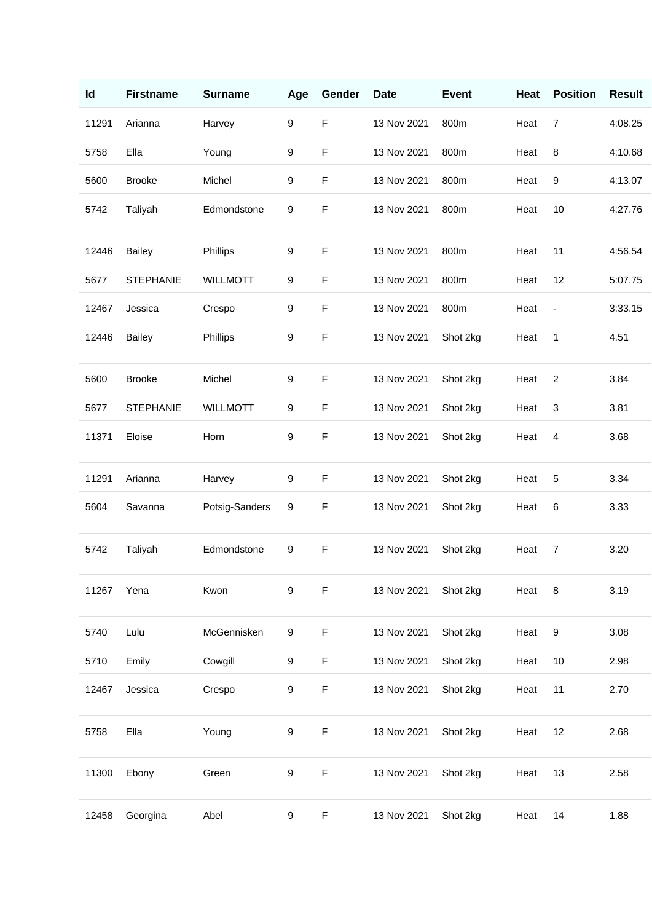| Id    | <b>Firstname</b> | <b>Surname</b>  | Age | Gender      | <b>Date</b> | <b>Event</b> | Heat | <b>Position</b> | <b>Result</b> |
|-------|------------------|-----------------|-----|-------------|-------------|--------------|------|-----------------|---------------|
| 11291 | Arianna          | Harvey          | 9   | $\mathsf F$ | 13 Nov 2021 | 800m         | Heat | $\overline{7}$  | 4:08.25       |
| 5758  | Ella             | Young           | 9   | $\mathsf F$ | 13 Nov 2021 | 800m         | Heat | 8               | 4:10.68       |
| 5600  | <b>Brooke</b>    | Michel          | 9   | $\mathsf F$ | 13 Nov 2021 | 800m         | Heat | 9               | 4:13.07       |
| 5742  | Taliyah          | Edmondstone     | 9   | $\mathsf F$ | 13 Nov 2021 | 800m         | Heat | 10              | 4:27.76       |
| 12446 | <b>Bailey</b>    | Phillips        | 9   | $\mathsf F$ | 13 Nov 2021 | 800m         | Heat | 11              | 4:56.54       |
| 5677  | <b>STEPHANIE</b> | <b>WILLMOTT</b> | 9   | $\mathsf F$ | 13 Nov 2021 | 800m         | Heat | 12              | 5:07.75       |
| 12467 | Jessica          | Crespo          | 9   | $\mathsf F$ | 13 Nov 2021 | 800m         | Heat | $\blacksquare$  | 3:33.15       |
| 12446 | <b>Bailey</b>    | Phillips        | 9   | $\mathsf F$ | 13 Nov 2021 | Shot 2kg     | Heat | 1               | 4.51          |
| 5600  | <b>Brooke</b>    | Michel          | 9   | $\mathsf F$ | 13 Nov 2021 | Shot 2kg     | Heat | $\overline{2}$  | 3.84          |
| 5677  | <b>STEPHANIE</b> | <b>WILLMOTT</b> | 9   | $\mathsf F$ | 13 Nov 2021 | Shot 2kg     | Heat | 3               | 3.81          |
| 11371 | Eloise           | Horn            | 9   | $\mathsf F$ | 13 Nov 2021 | Shot 2kg     | Heat | 4               | 3.68          |
| 11291 | Arianna          | Harvey          | 9   | F           | 13 Nov 2021 | Shot 2kg     | Heat | 5               | 3.34          |
| 5604  | Savanna          | Potsig-Sanders  | 9   | $\mathsf F$ | 13 Nov 2021 | Shot 2kg     | Heat | 6               | 3.33          |
| 5742  | Taliyah          | Edmondstone     | 9   | F           | 13 Nov 2021 | Shot 2kg     | Heat | $\overline{7}$  | 3.20          |
| 11267 | Yena             | Kwon            | 9   | $\mathsf F$ | 13 Nov 2021 | Shot 2kg     | Heat | $\bf 8$         | 3.19          |
| 5740  | Lulu             | McGennisken     | 9   | $\mathsf F$ | 13 Nov 2021 | Shot 2kg     | Heat | 9               | 3.08          |
| 5710  | Emily            | Cowgill         | 9   | $\mathsf F$ | 13 Nov 2021 | Shot 2kg     | Heat | 10              | 2.98          |
| 12467 | Jessica          | Crespo          | 9   | F           | 13 Nov 2021 | Shot 2kg     | Heat | 11              | 2.70          |
| 5758  | Ella             | Young           | 9   | $\mathsf F$ | 13 Nov 2021 | Shot 2kg     | Heat | 12              | 2.68          |
| 11300 | Ebony            | Green           | 9   | $\mathsf F$ | 13 Nov 2021 | Shot 2kg     | Heat | 13              | 2.58          |
| 12458 | Georgina         | Abel            | 9   | $\mathsf F$ | 13 Nov 2021 | Shot 2kg     | Heat | 14              | 1.88          |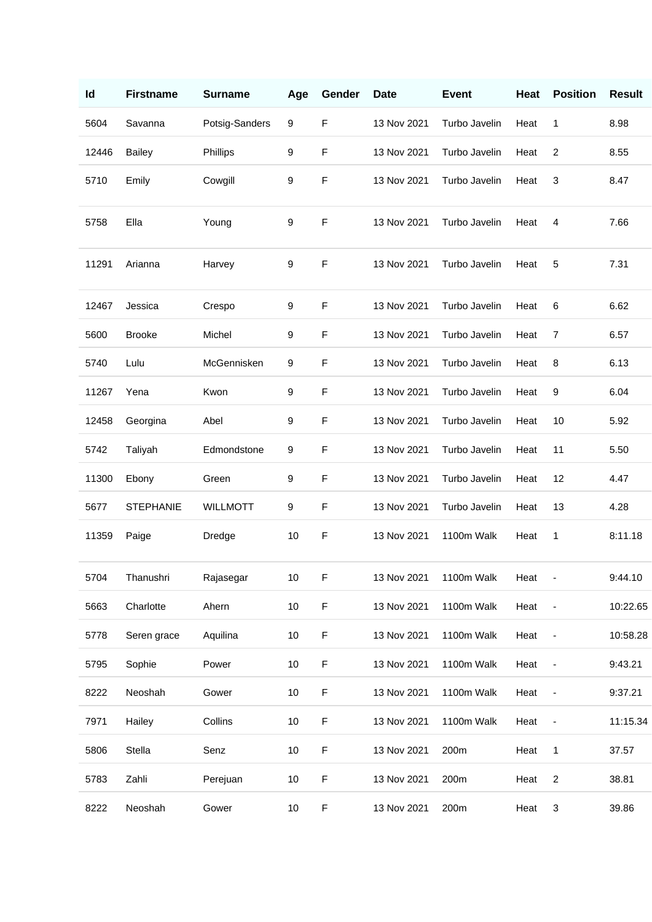| Id    | <b>Firstname</b> | <b>Surname</b>  | Age | Gender      | <b>Date</b> | <b>Event</b>  | Heat | <b>Position</b>          | <b>Result</b> |
|-------|------------------|-----------------|-----|-------------|-------------|---------------|------|--------------------------|---------------|
| 5604  | Savanna          | Potsig-Sanders  | 9   | $\mathsf F$ | 13 Nov 2021 | Turbo Javelin | Heat | 1                        | 8.98          |
| 12446 | <b>Bailey</b>    | Phillips        | 9   | F           | 13 Nov 2021 | Turbo Javelin | Heat | $\overline{c}$           | 8.55          |
| 5710  | Emily            | Cowgill         | 9   | $\mathsf F$ | 13 Nov 2021 | Turbo Javelin | Heat | 3                        | 8.47          |
| 5758  | Ella             | Young           | 9   | $\mathsf F$ | 13 Nov 2021 | Turbo Javelin | Heat | 4                        | 7.66          |
| 11291 | Arianna          | Harvey          | 9   | F           | 13 Nov 2021 | Turbo Javelin | Heat | 5                        | 7.31          |
| 12467 | Jessica          | Crespo          | 9   | F           | 13 Nov 2021 | Turbo Javelin | Heat | 6                        | 6.62          |
| 5600  | <b>Brooke</b>    | Michel          | 9   | F           | 13 Nov 2021 | Turbo Javelin | Heat | $\overline{7}$           | 6.57          |
| 5740  | Lulu             | McGennisken     | 9   | F           | 13 Nov 2021 | Turbo Javelin | Heat | 8                        | 6.13          |
| 11267 | Yena             | Kwon            | 9   | F           | 13 Nov 2021 | Turbo Javelin | Heat | 9                        | 6.04          |
| 12458 | Georgina         | Abel            | 9   | F           | 13 Nov 2021 | Turbo Javelin | Heat | 10                       | 5.92          |
| 5742  | Taliyah          | Edmondstone     | 9   | F           | 13 Nov 2021 | Turbo Javelin | Heat | 11                       | 5.50          |
| 11300 | Ebony            | Green           | 9   | F           | 13 Nov 2021 | Turbo Javelin | Heat | 12                       | 4.47          |
| 5677  | <b>STEPHANIE</b> | <b>WILLMOTT</b> | 9   | F           | 13 Nov 2021 | Turbo Javelin | Heat | 13                       | 4.28          |
| 11359 | Paige            | Dredge          | 10  | F           | 13 Nov 2021 | 1100m Walk    | Heat | 1                        | 8:11.18       |
| 5704  | Thanushri        | Rajasegar       | 10  | F           | 13 Nov 2021 | 1100m Walk    | Heat | ÷                        | 9:44.10       |
| 5663  | Charlotte        | Ahern           | 10  | $\mathsf F$ | 13 Nov 2021 | 1100m Walk    | Heat | $\overline{\phantom{a}}$ | 10:22.65      |
| 5778  | Seren grace      | Aquilina        | 10  | $\mathsf F$ | 13 Nov 2021 | 1100m Walk    | Heat | $\overline{\phantom{a}}$ | 10:58.28      |
| 5795  | Sophie           | Power           | 10  | F           | 13 Nov 2021 | 1100m Walk    | Heat | ÷                        | 9:43.21       |
| 8222  | Neoshah          | Gower           | 10  | F           | 13 Nov 2021 | 1100m Walk    | Heat | $\overline{\phantom{a}}$ | 9:37.21       |
| 7971  | Hailey           | Collins         | 10  | F           | 13 Nov 2021 | 1100m Walk    | Heat | $\overline{\phantom{a}}$ | 11:15.34      |
| 5806  | Stella           | Senz            | 10  | F           | 13 Nov 2021 | 200m          | Heat | 1                        | 37.57         |
| 5783  | Zahli            | Perejuan        | 10  | F           | 13 Nov 2021 | 200m          | Heat | $\overline{c}$           | 38.81         |
| 8222  | Neoshah          | Gower           | 10  | $\mathsf F$ | 13 Nov 2021 | 200m          | Heat | 3                        | 39.86         |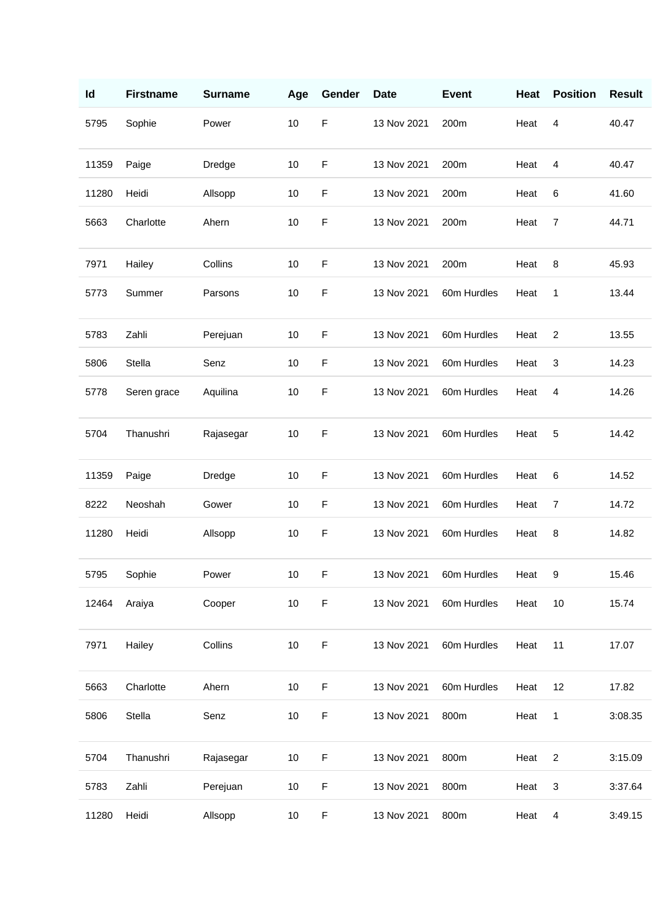| Id    | <b>Firstname</b> | <b>Surname</b> | Age  | Gender      | <b>Date</b> | <b>Event</b> | Heat | <b>Position</b> | <b>Result</b> |
|-------|------------------|----------------|------|-------------|-------------|--------------|------|-----------------|---------------|
| 5795  | Sophie           | Power          | 10   | $\mathsf F$ | 13 Nov 2021 | 200m         | Heat | 4               | 40.47         |
| 11359 | Paige            | Dredge         | 10   | $\mathsf F$ | 13 Nov 2021 | 200m         | Heat | 4               | 40.47         |
| 11280 | Heidi            | Allsopp        | 10   | $\mathsf F$ | 13 Nov 2021 | 200m         | Heat | 6               | 41.60         |
| 5663  | Charlotte        | Ahern          | 10   | $\mathsf F$ | 13 Nov 2021 | 200m         | Heat | $\overline{7}$  | 44.71         |
| 7971  | Hailey           | Collins        | 10   | $\mathsf F$ | 13 Nov 2021 | 200m         | Heat | 8               | 45.93         |
| 5773  | Summer           | Parsons        | 10   | $\mathsf F$ | 13 Nov 2021 | 60m Hurdles  | Heat | 1               | 13.44         |
| 5783  | Zahli            | Perejuan       | 10   | $\mathsf F$ | 13 Nov 2021 | 60m Hurdles  | Heat | $\overline{c}$  | 13.55         |
| 5806  | Stella           | Senz           | 10   | $\mathsf F$ | 13 Nov 2021 | 60m Hurdles  | Heat | 3               | 14.23         |
| 5778  | Seren grace      | Aquilina       | 10   | $\mathsf F$ | 13 Nov 2021 | 60m Hurdles  | Heat | 4               | 14.26         |
| 5704  | Thanushri        | Rajasegar      | 10   | F           | 13 Nov 2021 | 60m Hurdles  | Heat | 5               | 14.42         |
| 11359 | Paige            | Dredge         | 10   | F           | 13 Nov 2021 | 60m Hurdles  | Heat | 6               | 14.52         |
| 8222  | Neoshah          | Gower          | 10   | $\mathsf F$ | 13 Nov 2021 | 60m Hurdles  | Heat | 7               | 14.72         |
| 11280 | Heidi            | Allsopp        | 10   | $\mathsf F$ | 13 Nov 2021 | 60m Hurdles  | Heat | 8               | 14.82         |
| 5795  | Sophie           | Power          | 10   | F           | 13 Nov 2021 | 60m Hurdles  | Heat | $9\,$           | 15.46         |
| 12464 | Araiya           | Cooper         | $10$ | $\mathsf F$ | 13 Nov 2021 | 60m Hurdles  | Heat | 10              | 15.74         |
| 7971  | Hailey           | Collins        | 10   | $\mathsf F$ | 13 Nov 2021 | 60m Hurdles  | Heat | 11              | 17.07         |
| 5663  | Charlotte        | Ahern          | 10   | $\mathsf F$ | 13 Nov 2021 | 60m Hurdles  | Heat | 12              | 17.82         |
| 5806  | Stella           | Senz           | $10$ | $\mathsf F$ | 13 Nov 2021 | 800m         | Heat | 1               | 3:08.35       |
| 5704  | Thanushri        | Rajasegar      | $10$ | $\mathsf F$ | 13 Nov 2021 | 800m         | Heat | $\overline{2}$  | 3:15.09       |
| 5783  | Zahli            | Perejuan       | $10$ | $\mathsf F$ | 13 Nov 2021 | 800m         | Heat | 3               | 3:37.64       |
| 11280 | Heidi            | Allsopp        | $10$ | $\mathsf F$ | 13 Nov 2021 | 800m         | Heat | $\overline{4}$  | 3:49.15       |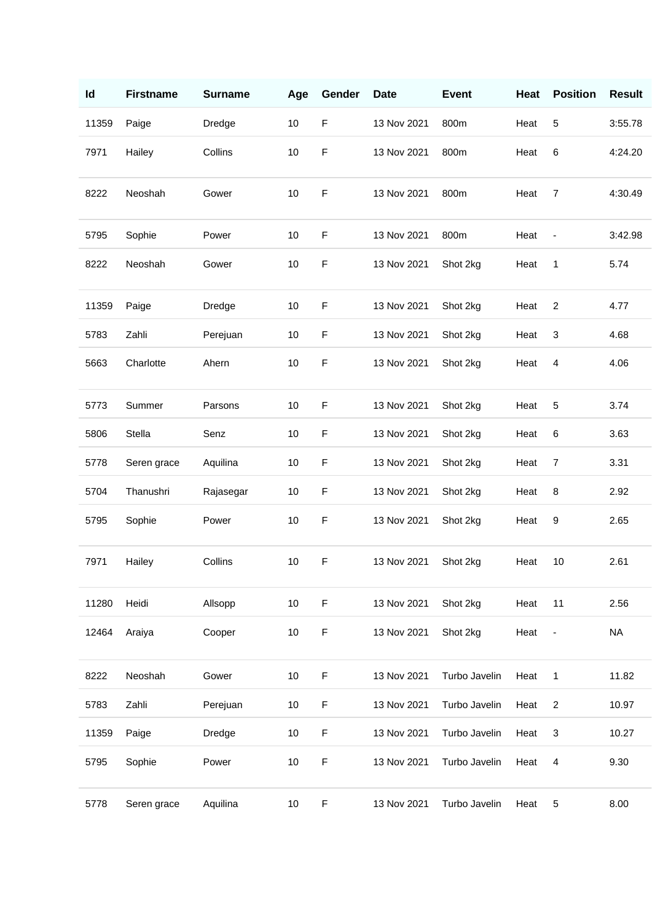| ld    | <b>Firstname</b> | <b>Surname</b> | Age | Gender      | <b>Date</b> | <b>Event</b>  | Heat | <b>Position</b>          | <b>Result</b> |
|-------|------------------|----------------|-----|-------------|-------------|---------------|------|--------------------------|---------------|
| 11359 | Paige            | Dredge         | 10  | $\mathsf F$ | 13 Nov 2021 | 800m          | Heat | $\sqrt{5}$               | 3:55.78       |
| 7971  | Hailey           | Collins        | 10  | F           | 13 Nov 2021 | 800m          | Heat | 6                        | 4:24.20       |
| 8222  | Neoshah          | Gower          | 10  | F           | 13 Nov 2021 | 800m          | Heat | $\overline{7}$           | 4:30.49       |
| 5795  | Sophie           | Power          | 10  | F           | 13 Nov 2021 | 800m          | Heat | $\overline{\phantom{a}}$ | 3:42.98       |
| 8222  | Neoshah          | Gower          | 10  | $\mathsf F$ | 13 Nov 2021 | Shot 2kg      | Heat | 1                        | 5.74          |
| 11359 | Paige            | Dredge         | 10  | F           | 13 Nov 2021 | Shot 2kg      | Heat | $\overline{2}$           | 4.77          |
| 5783  | Zahli            | Perejuan       | 10  | $\mathsf F$ | 13 Nov 2021 | Shot 2kg      | Heat | 3                        | 4.68          |
| 5663  | Charlotte        | Ahern          | 10  | F           | 13 Nov 2021 | Shot 2kg      | Heat | 4                        | 4.06          |
| 5773  | Summer           | Parsons        | 10  | $\mathsf F$ | 13 Nov 2021 | Shot 2kg      | Heat | 5                        | 3.74          |
| 5806  | Stella           | Senz           | 10  | F           | 13 Nov 2021 | Shot 2kg      | Heat | 6                        | 3.63          |
| 5778  | Seren grace      | Aquilina       | 10  | $\mathsf F$ | 13 Nov 2021 | Shot 2kg      | Heat | $\overline{7}$           | 3.31          |
| 5704  | Thanushri        | Rajasegar      | 10  | $\mathsf F$ | 13 Nov 2021 | Shot 2kg      | Heat | 8                        | 2.92          |
| 5795  | Sophie           | Power          | 10  | F           | 13 Nov 2021 | Shot 2kg      | Heat | 9                        | 2.65          |
| 7971  | Hailey           | Collins        | 10  | $\mathsf F$ | 13 Nov 2021 | Shot 2kg      | Heat | 10                       | 2.61          |
| 11280 | Heidi            | Allsopp        | 10  | $\mathsf F$ | 13 Nov 2021 | Shot 2kg      | Heat | 11                       | 2.56          |
| 12464 | Araiya           | Cooper         | 10  | $\mathsf F$ | 13 Nov 2021 | Shot 2kg      | Heat | $\overline{\phantom{a}}$ | <b>NA</b>     |
| 8222  | Neoshah          | Gower          | 10  | F           | 13 Nov 2021 | Turbo Javelin | Heat | 1                        | 11.82         |
| 5783  | Zahli            | Perejuan       | 10  | F           | 13 Nov 2021 | Turbo Javelin | Heat | $\overline{c}$           | 10.97         |
| 11359 | Paige            | Dredge         | 10  | F           | 13 Nov 2021 | Turbo Javelin | Heat | 3                        | 10.27         |
| 5795  | Sophie           | Power          | 10  | F           | 13 Nov 2021 | Turbo Javelin | Heat | 4                        | 9.30          |
| 5778  | Seren grace      | Aquilina       | 10  | F           | 13 Nov 2021 | Turbo Javelin | Heat | 5                        | 8.00          |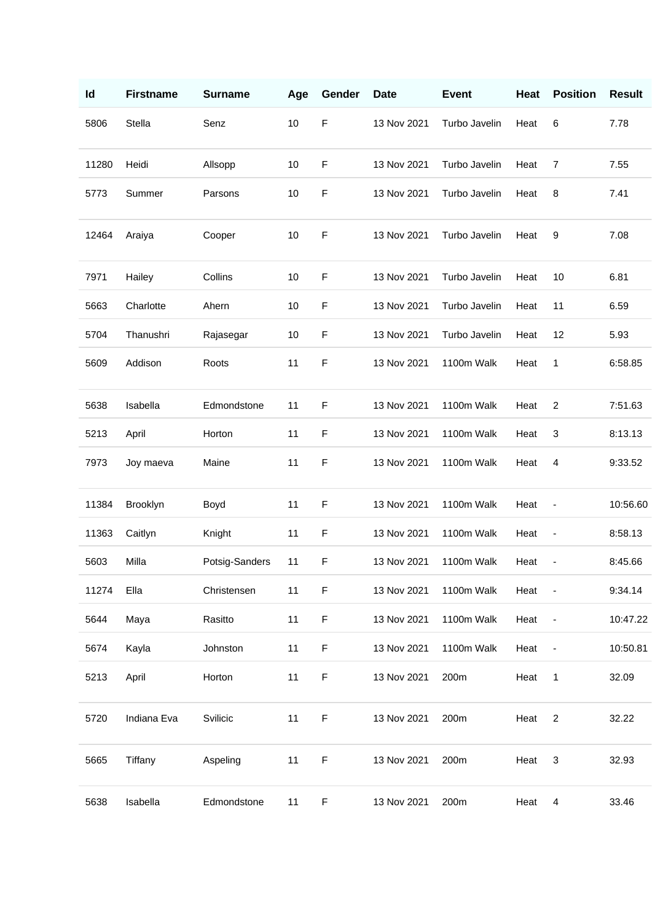| Id    | <b>Firstname</b> | <b>Surname</b> | Age | Gender      | <b>Date</b> | <b>Event</b>  | Heat | <b>Position</b>              | <b>Result</b> |
|-------|------------------|----------------|-----|-------------|-------------|---------------|------|------------------------------|---------------|
| 5806  | Stella           | Senz           | 10  | F           | 13 Nov 2021 | Turbo Javelin | Heat | 6                            | 7.78          |
| 11280 | Heidi            | Allsopp        | 10  | F           | 13 Nov 2021 | Turbo Javelin | Heat | 7                            | 7.55          |
| 5773  | Summer           | Parsons        | 10  | F           | 13 Nov 2021 | Turbo Javelin | Heat | 8                            | 7.41          |
| 12464 | Araiya           | Cooper         | 10  | F           | 13 Nov 2021 | Turbo Javelin | Heat | 9                            | 7.08          |
| 7971  | Hailey           | Collins        | 10  | F           | 13 Nov 2021 | Turbo Javelin | Heat | 10                           | 6.81          |
| 5663  | Charlotte        | Ahern          | 10  | F           | 13 Nov 2021 | Turbo Javelin | Heat | 11                           | 6.59          |
| 5704  | Thanushri        | Rajasegar      | 10  | F           | 13 Nov 2021 | Turbo Javelin | Heat | 12                           | 5.93          |
| 5609  | Addison          | Roots          | 11  | F           | 13 Nov 2021 | 1100m Walk    | Heat | 1                            | 6:58.85       |
| 5638  | Isabella         | Edmondstone    | 11  | F           | 13 Nov 2021 | 1100m Walk    | Heat | 2                            | 7:51.63       |
| 5213  | April            | Horton         | 11  | F           | 13 Nov 2021 | 1100m Walk    | Heat | 3                            | 8:13.13       |
| 7973  | Joy maeva        | Maine          | 11  | F           | 13 Nov 2021 | 1100m Walk    | Heat | 4                            | 9:33.52       |
| 11384 | Brooklyn         | Boyd           | 11  | F           | 13 Nov 2021 | 1100m Walk    | Heat |                              | 10:56.60      |
| 11363 | Caitlyn          | Knight         | 11  | F           | 13 Nov 2021 | 1100m Walk    | Heat | $\qquad \qquad \blacksquare$ | 8:58.13       |
| 5603  | Milla            | Potsig-Sanders | 11  | F           | 13 Nov 2021 | 1100m Walk    | Heat |                              | 8:45.66       |
| 11274 | Ella             | Christensen    | 11  | F           | 13 Nov 2021 | 1100m Walk    | Heat |                              | 9:34.14       |
| 5644  | Maya             | Rasitto        | 11  | F           | 13 Nov 2021 | 1100m Walk    | Heat | $\blacksquare$               | 10:47.22      |
| 5674  | Kayla            | Johnston       | 11  | F           | 13 Nov 2021 | 1100m Walk    | Heat |                              | 10:50.81      |
| 5213  | April            | Horton         | 11  | F           | 13 Nov 2021 | 200m          | Heat | 1                            | 32.09         |
| 5720  | Indiana Eva      | Svilicic       | 11  | F           | 13 Nov 2021 | 200m          | Heat | $\overline{c}$               | 32.22         |
| 5665  | Tiffany          | Aspeling       | 11  | $\mathsf F$ | 13 Nov 2021 | 200m          | Heat | $\mathbf{3}$                 | 32.93         |
| 5638  | Isabella         | Edmondstone    | 11  | F           | 13 Nov 2021 | 200m          | Heat | $\overline{\mathbf{4}}$      | 33.46         |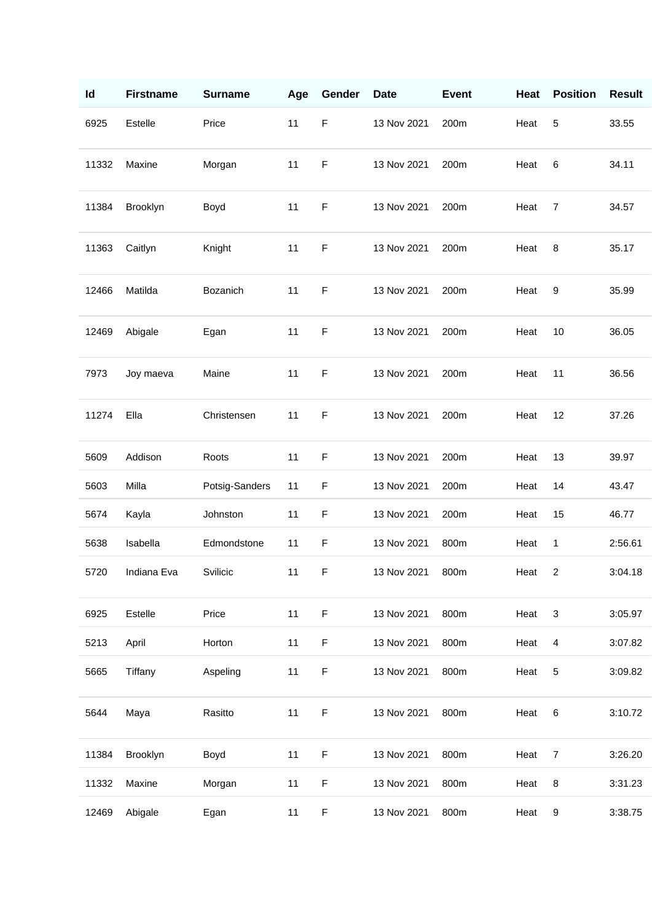| Id    | <b>Firstname</b> | <b>Surname</b> | Age | Gender      | <b>Date</b> | <b>Event</b> | Heat | <b>Position</b> | <b>Result</b> |
|-------|------------------|----------------|-----|-------------|-------------|--------------|------|-----------------|---------------|
| 6925  | Estelle          | Price          | 11  | $\mathsf F$ | 13 Nov 2021 | 200m         | Heat | $\sqrt{5}$      | 33.55         |
| 11332 | Maxine           | Morgan         | 11  | $\mathsf F$ | 13 Nov 2021 | 200m         | Heat | 6               | 34.11         |
| 11384 | Brooklyn         | Boyd           | 11  | $\mathsf F$ | 13 Nov 2021 | 200m         | Heat | 7               | 34.57         |
| 11363 | Caitlyn          | Knight         | 11  | $\mathsf F$ | 13 Nov 2021 | 200m         | Heat | 8               | 35.17         |
| 12466 | Matilda          | Bozanich       | 11  | $\mathsf F$ | 13 Nov 2021 | 200m         | Heat | 9               | 35.99         |
| 12469 | Abigale          | Egan           | 11  | F           | 13 Nov 2021 | 200m         | Heat | 10              | 36.05         |
| 7973  | Joy maeva        | Maine          | 11  | $\mathsf F$ | 13 Nov 2021 | 200m         | Heat | 11              | 36.56         |
| 11274 | Ella             | Christensen    | 11  | $\mathsf F$ | 13 Nov 2021 | 200m         | Heat | 12              | 37.26         |
| 5609  | Addison          | Roots          | 11  | $\mathsf F$ | 13 Nov 2021 | 200m         | Heat | 13              | 39.97         |
| 5603  | Milla            | Potsig-Sanders | 11  | F           | 13 Nov 2021 | 200m         | Heat | 14              | 43.47         |
| 5674  | Kayla            | Johnston       | 11  | $\mathsf F$ | 13 Nov 2021 | 200m         | Heat | 15              | 46.77         |
| 5638  | Isabella         | Edmondstone    | 11  | $\mathsf F$ | 13 Nov 2021 | 800m         | Heat | 1               | 2:56.61       |
| 5720  | Indiana Eva      | Svilicic       | 11  | F           | 13 Nov 2021 | 800m         | Heat | 2               | 3:04.18       |
| 6925  | Estelle          | Price          | 11  | $\mathsf F$ | 13 Nov 2021 | 800m         | Heat | $\mathbf{3}$    | 3:05.97       |
| 5213  | April            | Horton         | 11  | $\mathsf F$ | 13 Nov 2021 | 800m         | Heat | 4               | 3:07.82       |
| 5665  | Tiffany          | Aspeling       | 11  | $\mathsf F$ | 13 Nov 2021 | 800m         | Heat | $\sqrt{5}$      | 3:09.82       |
| 5644  | Maya             | Rasitto        | 11  | $\mathsf F$ | 13 Nov 2021 | 800m         | Heat | $\,6$           | 3:10.72       |
| 11384 | Brooklyn         | Boyd           | 11  | $\mathsf F$ | 13 Nov 2021 | 800m         | Heat | $\overline{7}$  | 3:26.20       |
| 11332 | Maxine           | Morgan         | 11  | $\mathsf F$ | 13 Nov 2021 | 800m         | Heat | 8               | 3:31.23       |
| 12469 | Abigale          | Egan           | 11  | $\mathsf F$ | 13 Nov 2021 | 800m         | Heat | 9               | 3:38.75       |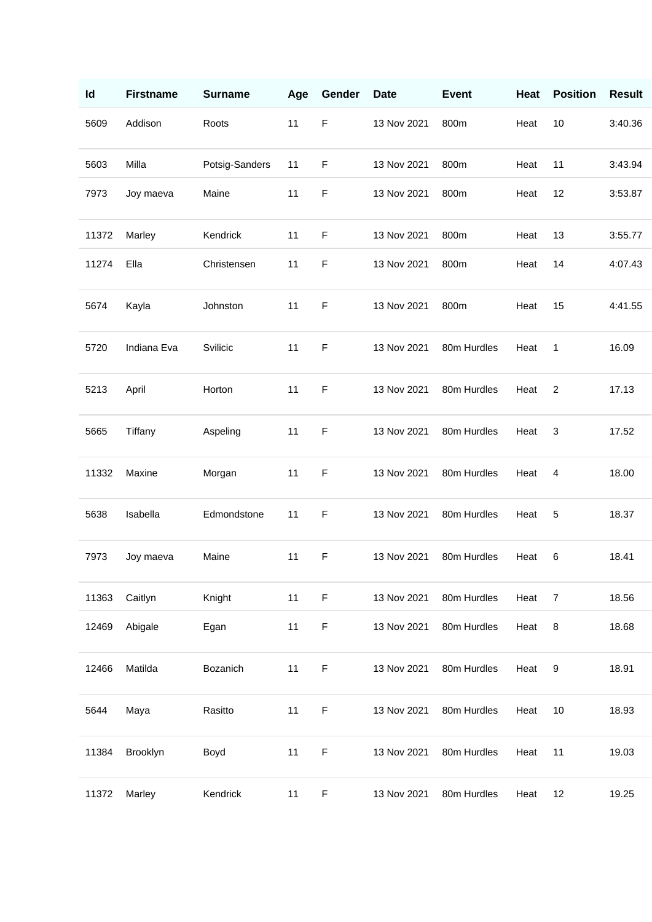| Id    | <b>Firstname</b> | <b>Surname</b> | Age | Gender      | <b>Date</b> | <b>Event</b> | Heat | <b>Position</b> | <b>Result</b> |
|-------|------------------|----------------|-----|-------------|-------------|--------------|------|-----------------|---------------|
| 5609  | Addison          | Roots          | 11  | $\mathsf F$ | 13 Nov 2021 | 800m         | Heat | 10              | 3:40.36       |
| 5603  | Milla            | Potsig-Sanders | 11  | $\mathsf F$ | 13 Nov 2021 | 800m         | Heat | 11              | 3:43.94       |
| 7973  | Joy maeva        | Maine          | 11  | $\mathsf F$ | 13 Nov 2021 | 800m         | Heat | 12              | 3:53.87       |
| 11372 | Marley           | Kendrick       | 11  | F           | 13 Nov 2021 | 800m         | Heat | 13              | 3:55.77       |
| 11274 | Ella             | Christensen    | 11  | $\mathsf F$ | 13 Nov 2021 | 800m         | Heat | 14              | 4:07.43       |
| 5674  | Kayla            | Johnston       | 11  | F           | 13 Nov 2021 | 800m         | Heat | 15              | 4:41.55       |
| 5720  | Indiana Eva      | Svilicic       | 11  | $\mathsf F$ | 13 Nov 2021 | 80m Hurdles  | Heat | 1               | 16.09         |
| 5213  | April            | Horton         | 11  | $\mathsf F$ | 13 Nov 2021 | 80m Hurdles  | Heat | $\overline{2}$  | 17.13         |
| 5665  | Tiffany          | Aspeling       | 11  | $\mathsf F$ | 13 Nov 2021 | 80m Hurdles  | Heat | 3               | 17.52         |
| 11332 | Maxine           | Morgan         | 11  | $\mathsf F$ | 13 Nov 2021 | 80m Hurdles  | Heat | 4               | 18.00         |
| 5638  | Isabella         | Edmondstone    | 11  | F           | 13 Nov 2021 | 80m Hurdles  | Heat | 5               | 18.37         |
| 7973  | Joy maeva        | Maine          | 11  | $\mathsf F$ | 13 Nov 2021 | 80m Hurdles  | Heat | 6               | 18.41         |
| 11363 | Caitlyn          | Knight         | 11  | $\mathsf F$ | 13 Nov 2021 | 80m Hurdles  | Heat | 7               | 18.56         |
| 12469 | Abigale          | Egan           | 11  | $\mathsf F$ | 13 Nov 2021 | 80m Hurdles  | Heat | 8               | 18.68         |
| 12466 | Matilda          | Bozanich       | 11  | $\mathsf F$ | 13 Nov 2021 | 80m Hurdles  | Heat | 9               | 18.91         |
| 5644  | Maya             | Rasitto        | 11  | $\mathsf F$ | 13 Nov 2021 | 80m Hurdles  | Heat | 10              | 18.93         |
| 11384 | Brooklyn         | Boyd           | 11  | $\mathsf F$ | 13 Nov 2021 | 80m Hurdles  | Heat | 11              | 19.03         |
| 11372 | Marley           | Kendrick       | 11  | F           | 13 Nov 2021 | 80m Hurdles  | Heat | 12              | 19.25         |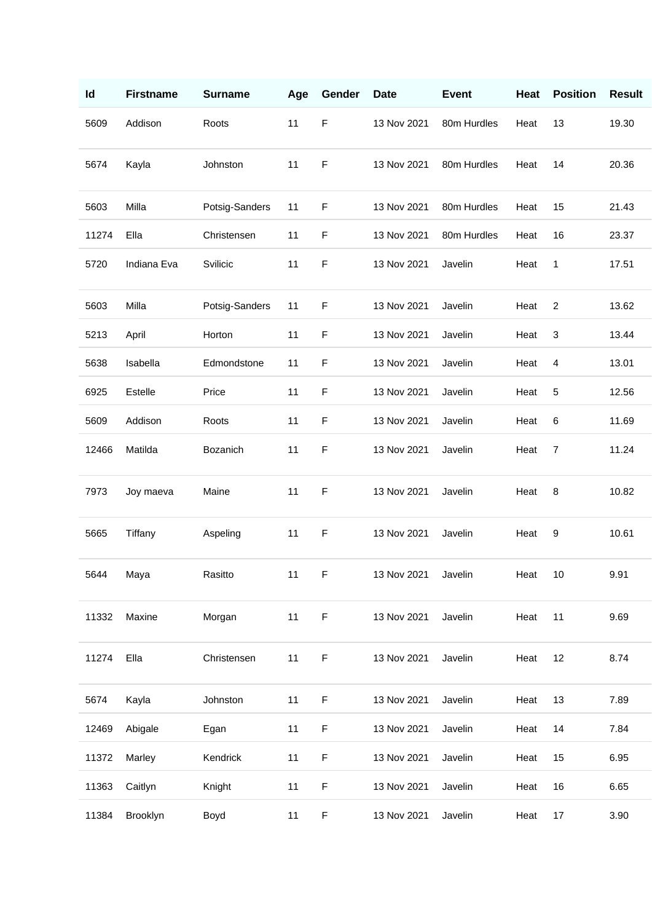| Id    | <b>Firstname</b> | <b>Surname</b> | Age | Gender      | <b>Date</b>         | <b>Event</b> | Heat    | <b>Position</b> | <b>Result</b> |
|-------|------------------|----------------|-----|-------------|---------------------|--------------|---------|-----------------|---------------|
| 5609  | Addison          | Roots          | 11  | $\mathsf F$ | 13 Nov 2021         | 80m Hurdles  | Heat    | 13              | 19.30         |
| 5674  | Kayla            | Johnston       | 11  | F           | 13 Nov 2021         | 80m Hurdles  | Heat    | 14              | 20.36         |
| 5603  | Milla            | Potsig-Sanders | 11  | $\mathsf F$ | 13 Nov 2021         | 80m Hurdles  | Heat    | 15              | 21.43         |
| 11274 | Ella             | Christensen    | 11  | F           | 13 Nov 2021         | 80m Hurdles  | Heat    | 16              | 23.37         |
| 5720  | Indiana Eva      | Svilicic       | 11  | F           | 13 Nov 2021         | Javelin      | Heat    | 1               | 17.51         |
| 5603  | Milla            | Potsig-Sanders | 11  | F           | 13 Nov 2021         | Javelin      | Heat    | $\overline{2}$  | 13.62         |
| 5213  | April            | Horton         | 11  | F           | 13 Nov 2021         | Javelin      | Heat    | 3               | 13.44         |
| 5638  | Isabella         | Edmondstone    | 11  | $\mathsf F$ | 13 Nov 2021         | Javelin      | Heat    | 4               | 13.01         |
| 6925  | Estelle          | Price          | 11  | F           | 13 Nov 2021         | Javelin      | Heat    | 5               | 12.56         |
| 5609  | Addison          | Roots          | 11  | F           | 13 Nov 2021         | Javelin      | Heat    | 6               | 11.69         |
| 12466 | Matilda          | Bozanich       | 11  | $\mathsf F$ | 13 Nov 2021         | Javelin      | Heat    | 7               | 11.24         |
| 7973  | Joy maeva        | Maine          | 11  | $\mathsf F$ | 13 Nov 2021         | Javelin      | Heat    | 8               | 10.82         |
| 5665  | Tiffany          | Aspeling       | 11  | $\mathsf F$ | 13 Nov 2021         | Javelin      | Heat    | 9               | 10.61         |
| 5644  | Maya             | Rasitto        | 11  | F           | 13 Nov 2021 Javelin |              | Heat 10 |                 | 9.91          |
| 11332 | Maxine           | Morgan         | 11  | $\mathsf F$ | 13 Nov 2021         | Javelin      | Heat    | 11              | 9.69          |
| 11274 | Ella             | Christensen    | 11  | F           | 13 Nov 2021         | Javelin      | Heat    | 12              | 8.74          |
| 5674  | Kayla            | Johnston       | 11  | F           | 13 Nov 2021         | Javelin      | Heat    | 13              | 7.89          |
| 12469 | Abigale          | Egan           | 11  | F           | 13 Nov 2021         | Javelin      | Heat    | 14              | 7.84          |
| 11372 | Marley           | Kendrick       | 11  | F           | 13 Nov 2021         | Javelin      | Heat    | 15              | 6.95          |
| 11363 | Caitlyn          | Knight         | 11  | F           | 13 Nov 2021         | Javelin      | Heat    | 16              | 6.65          |
| 11384 | Brooklyn         | Boyd           | 11  | F           | 13 Nov 2021         | Javelin      | Heat    | 17              | 3.90          |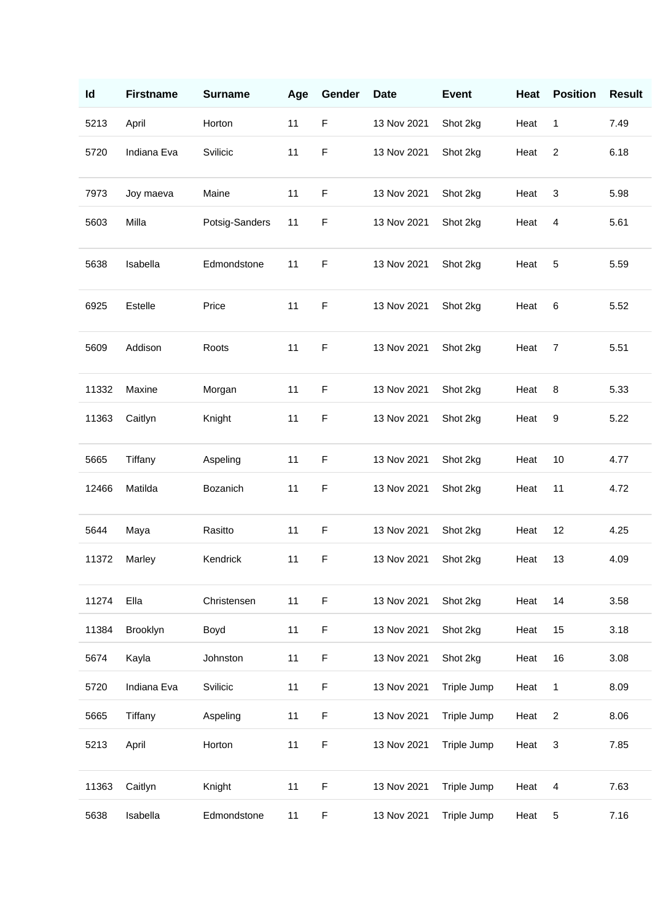| Id    | <b>Firstname</b> | <b>Surname</b> | Age | Gender      | <b>Date</b> | <b>Event</b> | Heat | <b>Position</b>         | <b>Result</b> |
|-------|------------------|----------------|-----|-------------|-------------|--------------|------|-------------------------|---------------|
| 5213  | April            | Horton         | 11  | $\mathsf F$ | 13 Nov 2021 | Shot 2kg     | Heat | 1                       | 7.49          |
| 5720  | Indiana Eva      | Svilicic       | 11  | $\mathsf F$ | 13 Nov 2021 | Shot 2kg     | Heat | $\overline{c}$          | 6.18          |
| 7973  | Joy maeva        | Maine          | 11  | $\mathsf F$ | 13 Nov 2021 | Shot 2kg     | Heat | 3                       | 5.98          |
| 5603  | Milla            | Potsig-Sanders | 11  | $\mathsf F$ | 13 Nov 2021 | Shot 2kg     | Heat | 4                       | 5.61          |
| 5638  | Isabella         | Edmondstone    | 11  | $\mathsf F$ | 13 Nov 2021 | Shot 2kg     | Heat | 5                       | 5.59          |
| 6925  | Estelle          | Price          | 11  | $\mathsf F$ | 13 Nov 2021 | Shot 2kg     | Heat | 6                       | 5.52          |
| 5609  | Addison          | Roots          | 11  | $\mathsf F$ | 13 Nov 2021 | Shot 2kg     | Heat | 7                       | 5.51          |
| 11332 | Maxine           | Morgan         | 11  | $\mathsf F$ | 13 Nov 2021 | Shot 2kg     | Heat | 8                       | 5.33          |
| 11363 | Caitlyn          | Knight         | 11  | $\mathsf F$ | 13 Nov 2021 | Shot 2kg     | Heat | 9                       | 5.22          |
| 5665  | Tiffany          | Aspeling       | 11  | $\mathsf F$ | 13 Nov 2021 | Shot 2kg     | Heat | 10                      | 4.77          |
| 12466 | Matilda          | Bozanich       | 11  | $\mathsf F$ | 13 Nov 2021 | Shot 2kg     | Heat | 11                      | 4.72          |
| 5644  | Maya             | Rasitto        | 11  | $\mathsf F$ | 13 Nov 2021 | Shot 2kg     | Heat | 12                      | 4.25          |
| 11372 | Marley           | Kendrick       | 11  | $\mathsf F$ | 13 Nov 2021 | Shot 2kg     | Heat | 13                      | 4.09          |
| 11274 | Ella             | Christensen    | 11  | $\mathsf F$ | 13 Nov 2021 | Shot 2kg     | Heat | 14                      | 3.58          |
| 11384 | Brooklyn         | Boyd           | 11  | $\mathsf F$ | 13 Nov 2021 | Shot 2kg     | Heat | 15                      | 3.18          |
| 5674  | Kayla            | Johnston       | 11  | $\mathsf F$ | 13 Nov 2021 | Shot 2kg     | Heat | 16                      | 3.08          |
| 5720  | Indiana Eva      | Svilicic       | 11  | $\mathsf F$ | 13 Nov 2021 | Triple Jump  | Heat | 1                       | 8.09          |
| 5665  | Tiffany          | Aspeling       | 11  | $\mathsf F$ | 13 Nov 2021 | Triple Jump  | Heat | $\overline{\mathbf{c}}$ | 8.06          |
| 5213  | April            | Horton         | 11  | $\mathsf F$ | 13 Nov 2021 | Triple Jump  | Heat | 3                       | 7.85          |
| 11363 | Caitlyn          | Knight         | 11  | $\mathsf F$ | 13 Nov 2021 | Triple Jump  | Heat | 4                       | 7.63          |
| 5638  | Isabella         | Edmondstone    | 11  | $\mathsf F$ | 13 Nov 2021 | Triple Jump  | Heat | 5                       | 7.16          |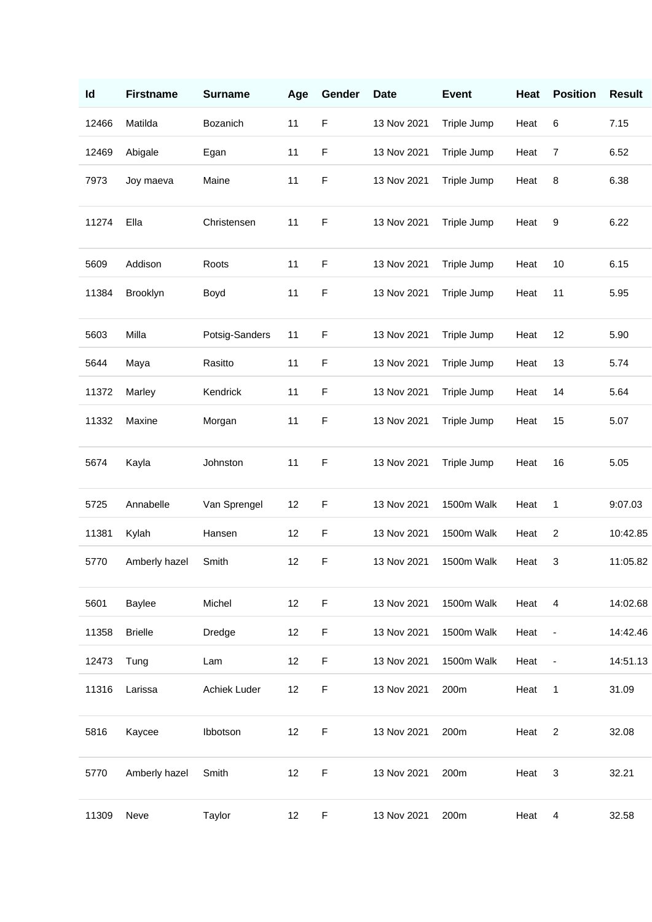| Id    | <b>Firstname</b> | <b>Surname</b> | Age | Gender      | <b>Date</b> | <b>Event</b> | Heat | <b>Position</b>          | <b>Result</b> |
|-------|------------------|----------------|-----|-------------|-------------|--------------|------|--------------------------|---------------|
| 12466 | Matilda          | Bozanich       | 11  | $\mathsf F$ | 13 Nov 2021 | Triple Jump  | Heat | 6                        | 7.15          |
| 12469 | Abigale          | Egan           | 11  | $\mathsf F$ | 13 Nov 2021 | Triple Jump  | Heat | 7                        | 6.52          |
| 7973  | Joy maeva        | Maine          | 11  | $\mathsf F$ | 13 Nov 2021 | Triple Jump  | Heat | 8                        | 6.38          |
| 11274 | Ella             | Christensen    | 11  | $\mathsf F$ | 13 Nov 2021 | Triple Jump  | Heat | 9                        | 6.22          |
| 5609  | Addison          | Roots          | 11  | $\mathsf F$ | 13 Nov 2021 | Triple Jump  | Heat | 10                       | 6.15          |
| 11384 | Brooklyn         | Boyd           | 11  | $\mathsf F$ | 13 Nov 2021 | Triple Jump  | Heat | 11                       | 5.95          |
| 5603  | Milla            | Potsig-Sanders | 11  | $\mathsf F$ | 13 Nov 2021 | Triple Jump  | Heat | 12                       | 5.90          |
| 5644  | Maya             | Rasitto        | 11  | $\mathsf F$ | 13 Nov 2021 | Triple Jump  | Heat | 13                       | 5.74          |
| 11372 | Marley           | Kendrick       | 11  | $\mathsf F$ | 13 Nov 2021 | Triple Jump  | Heat | 14                       | 5.64          |
| 11332 | Maxine           | Morgan         | 11  | $\mathsf F$ | 13 Nov 2021 | Triple Jump  | Heat | 15                       | 5.07          |
| 5674  | Kayla            | Johnston       | 11  | $\mathsf F$ | 13 Nov 2021 | Triple Jump  | Heat | 16                       | 5.05          |
| 5725  | Annabelle        | Van Sprengel   | 12  | $\mathsf F$ | 13 Nov 2021 | 1500m Walk   | Heat | 1                        | 9:07.03       |
| 11381 | Kylah            | Hansen         | 12  | $\mathsf F$ | 13 Nov 2021 | 1500m Walk   | Heat | 2                        | 10:42.85      |
| 5770  | Amberly hazel    | Smith          | 12  | $\mathsf F$ | 13 Nov 2021 | 1500m Walk   | Heat | 3                        | 11:05.82      |
| 5601  | Baylee           | Michel         | 12  | $\mathsf F$ | 13 Nov 2021 | 1500m Walk   | Heat | 4                        | 14:02.68      |
| 11358 | <b>Brielle</b>   | Dredge         | 12  | $\mathsf F$ | 13 Nov 2021 | 1500m Walk   | Heat | $\overline{\phantom{a}}$ | 14:42.46      |
| 12473 | Tung             | Lam            | 12  | $\mathsf F$ | 13 Nov 2021 | 1500m Walk   | Heat | $\overline{\phantom{a}}$ | 14:51.13      |
| 11316 | Larissa          | Achiek Luder   | 12  | $\mathsf F$ | 13 Nov 2021 | 200m         | Heat | 1                        | 31.09         |
| 5816  | Kaycee           | Ibbotson       | 12  | $\mathsf F$ | 13 Nov 2021 | 200m         | Heat | $\overline{c}$           | 32.08         |
| 5770  | Amberly hazel    | Smith          | 12  | $\mathsf F$ | 13 Nov 2021 | 200m         | Heat | 3                        | 32.21         |
| 11309 | Neve             | Taylor         | 12  | $\mathsf F$ | 13 Nov 2021 | 200m         | Heat | 4                        | 32.58         |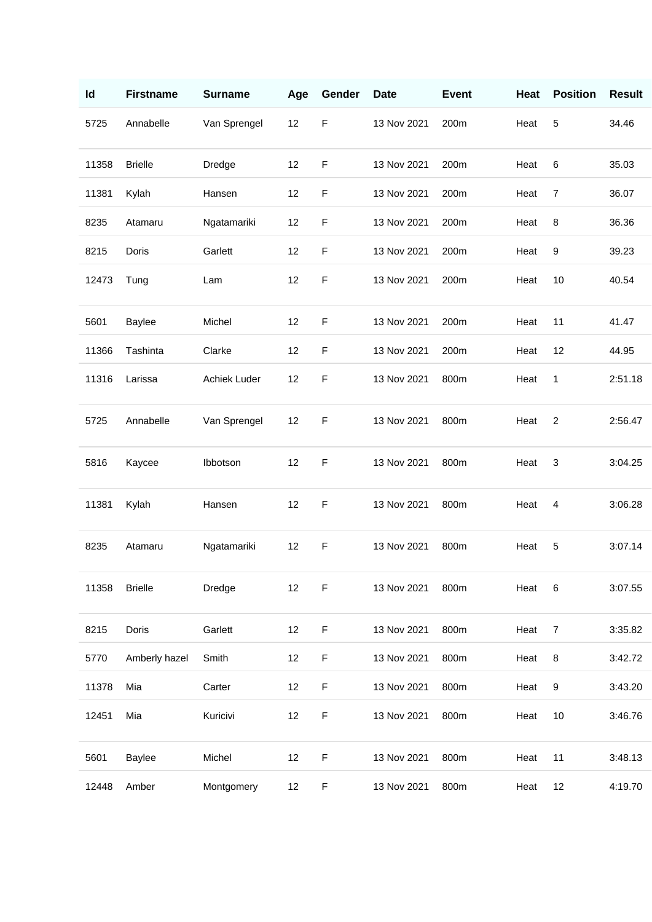| Id    | <b>Firstname</b> | <b>Surname</b> | Age | Gender      | <b>Date</b> | <b>Event</b> | Heat | <b>Position</b> | <b>Result</b> |
|-------|------------------|----------------|-----|-------------|-------------|--------------|------|-----------------|---------------|
| 5725  | Annabelle        | Van Sprengel   | 12  | $\mathsf F$ | 13 Nov 2021 | 200m         | Heat | 5               | 34.46         |
| 11358 | <b>Brielle</b>   | Dredge         | 12  | $\mathsf F$ | 13 Nov 2021 | 200m         | Heat | 6               | 35.03         |
| 11381 | Kylah            | Hansen         | 12  | $\mathsf F$ | 13 Nov 2021 | 200m         | Heat | $\overline{7}$  | 36.07         |
| 8235  | Atamaru          | Ngatamariki    | 12  | $\mathsf F$ | 13 Nov 2021 | 200m         | Heat | 8               | 36.36         |
| 8215  | Doris            | Garlett        | 12  | $\mathsf F$ | 13 Nov 2021 | 200m         | Heat | 9               | 39.23         |
| 12473 | Tung             | Lam            | 12  | $\mathsf F$ | 13 Nov 2021 | 200m         | Heat | 10              | 40.54         |
| 5601  | <b>Baylee</b>    | Michel         | 12  | $\mathsf F$ | 13 Nov 2021 | 200m         | Heat | 11              | 41.47         |
| 11366 | Tashinta         | Clarke         | 12  | $\mathsf F$ | 13 Nov 2021 | 200m         | Heat | 12              | 44.95         |
| 11316 | Larissa          | Achiek Luder   | 12  | $\mathsf F$ | 13 Nov 2021 | 800m         | Heat | 1               | 2:51.18       |
| 5725  | Annabelle        | Van Sprengel   | 12  | $\mathsf F$ | 13 Nov 2021 | 800m         | Heat | $\overline{c}$  | 2:56.47       |
| 5816  | Kaycee           | Ibbotson       | 12  | $\mathsf F$ | 13 Nov 2021 | 800m         | Heat | 3               | 3:04.25       |
| 11381 | Kylah            | Hansen         | 12  | $\mathsf F$ | 13 Nov 2021 | 800m         | Heat | 4               | 3:06.28       |
| 8235  | Atamaru          | Ngatamariki    | 12  | $\mathsf F$ | 13 Nov 2021 | 800m         | Heat | 5               | 3:07.14       |
| 11358 | <b>Brielle</b>   | Dredge         | 12  | $\mathsf F$ | 13 Nov 2021 | 800m         | Heat | $\,6$           | 3:07.55       |
| 8215  | Doris            | Garlett        | 12  | $\mathsf F$ | 13 Nov 2021 | 800m         | Heat | 7               | 3:35.82       |
| 5770  | Amberly hazel    | Smith          | 12  | $\mathsf F$ | 13 Nov 2021 | 800m         | Heat | 8               | 3:42.72       |
| 11378 | Mia              | Carter         | 12  | $\mathsf F$ | 13 Nov 2021 | 800m         | Heat | 9               | 3:43.20       |
| 12451 | Mia              | Kuricivi       | 12  | $\mathsf F$ | 13 Nov 2021 | 800m         | Heat | 10              | 3:46.76       |
| 5601  | Baylee           | Michel         | 12  | $\mathsf F$ | 13 Nov 2021 | 800m         | Heat | 11              | 3:48.13       |
| 12448 | Amber            | Montgomery     | 12  | $\mathsf F$ | 13 Nov 2021 | 800m         | Heat | 12              | 4:19.70       |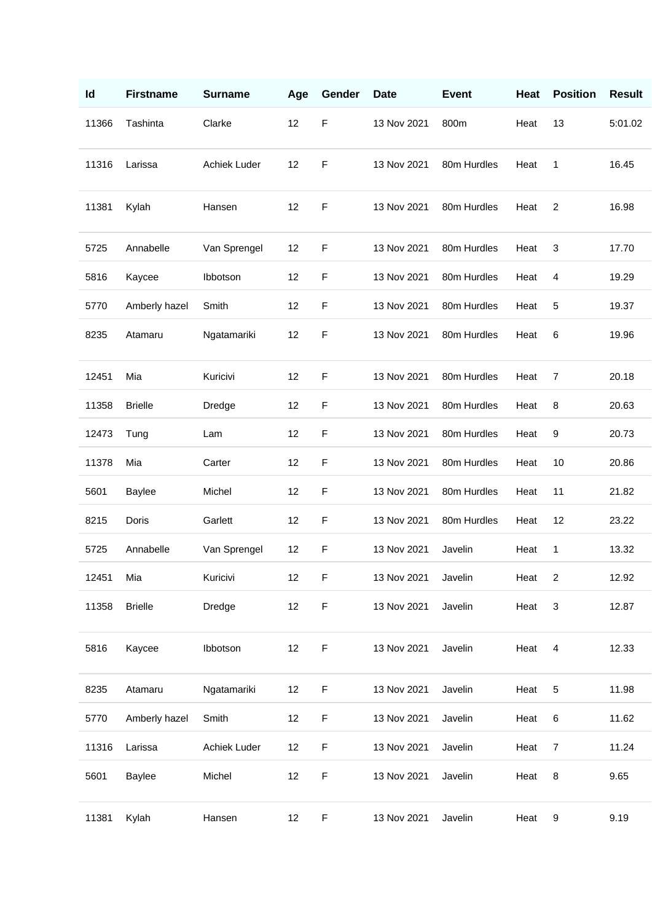| Id    | <b>Firstname</b> | <b>Surname</b> | Age | Gender      | <b>Date</b> | <b>Event</b> | Heat | <b>Position</b> | <b>Result</b> |
|-------|------------------|----------------|-----|-------------|-------------|--------------|------|-----------------|---------------|
| 11366 | Tashinta         | Clarke         | 12  | $\mathsf F$ | 13 Nov 2021 | 800m         | Heat | 13              | 5:01.02       |
| 11316 | Larissa          | Achiek Luder   | 12  | $\mathsf F$ | 13 Nov 2021 | 80m Hurdles  | Heat | 1               | 16.45         |
| 11381 | Kylah            | Hansen         | 12  | $\mathsf F$ | 13 Nov 2021 | 80m Hurdles  | Heat | 2               | 16.98         |
| 5725  | Annabelle        | Van Sprengel   | 12  | $\mathsf F$ | 13 Nov 2021 | 80m Hurdles  | Heat | 3               | 17.70         |
| 5816  | Kaycee           | Ibbotson       | 12  | $\mathsf F$ | 13 Nov 2021 | 80m Hurdles  | Heat | 4               | 19.29         |
| 5770  | Amberly hazel    | Smith          | 12  | $\mathsf F$ | 13 Nov 2021 | 80m Hurdles  | Heat | 5               | 19.37         |
| 8235  | Atamaru          | Ngatamariki    | 12  | $\mathsf F$ | 13 Nov 2021 | 80m Hurdles  | Heat | 6               | 19.96         |
| 12451 | Mia              | Kuricivi       | 12  | $\mathsf F$ | 13 Nov 2021 | 80m Hurdles  | Heat | $\overline{7}$  | 20.18         |
| 11358 | <b>Brielle</b>   | Dredge         | 12  | $\mathsf F$ | 13 Nov 2021 | 80m Hurdles  | Heat | 8               | 20.63         |
| 12473 | Tung             | Lam            | 12  | $\mathsf F$ | 13 Nov 2021 | 80m Hurdles  | Heat | 9               | 20.73         |
| 11378 | Mia              | Carter         | 12  | F           | 13 Nov 2021 | 80m Hurdles  | Heat | 10              | 20.86         |
| 5601  | Baylee           | Michel         | 12  | $\mathsf F$ | 13 Nov 2021 | 80m Hurdles  | Heat | 11              | 21.82         |
| 8215  | Doris            | Garlett        | 12  | $\mathsf F$ | 13 Nov 2021 | 80m Hurdles  | Heat | 12              | 23.22         |
| 5725  | Annabelle        | Van Sprengel   | 12  | $\mathsf F$ | 13 Nov 2021 | Javelin      | Heat | 1               | 13.32         |
| 12451 | Mia              | Kuricivi       | 12  | F           | 13 Nov 2021 | Javelin      | Heat | $\overline{2}$  | 12.92         |
| 11358 | <b>Brielle</b>   | Dredge         | 12  | $\mathsf F$ | 13 Nov 2021 | Javelin      | Heat | $\sqrt{3}$      | 12.87         |
| 5816  | Kaycee           | Ibbotson       | 12  | $\mathsf F$ | 13 Nov 2021 | Javelin      | Heat | 4               | 12.33         |
| 8235  | Atamaru          | Ngatamariki    | 12  | $\mathsf F$ | 13 Nov 2021 | Javelin      | Heat | $\sqrt{5}$      | 11.98         |
| 5770  | Amberly hazel    | Smith          | 12  | $\mathsf F$ | 13 Nov 2021 | Javelin      | Heat | $\,6$           | 11.62         |
| 11316 | Larissa          | Achiek Luder   | 12  | $\mathsf F$ | 13 Nov 2021 | Javelin      | Heat | $\overline{7}$  | 11.24         |
| 5601  | Baylee           | Michel         | 12  | $\mathsf F$ | 13 Nov 2021 | Javelin      | Heat | $\, 8$          | 9.65          |
| 11381 | Kylah            | Hansen         | 12  | $\mathsf F$ | 13 Nov 2021 | Javelin      | Heat | 9               | 9.19          |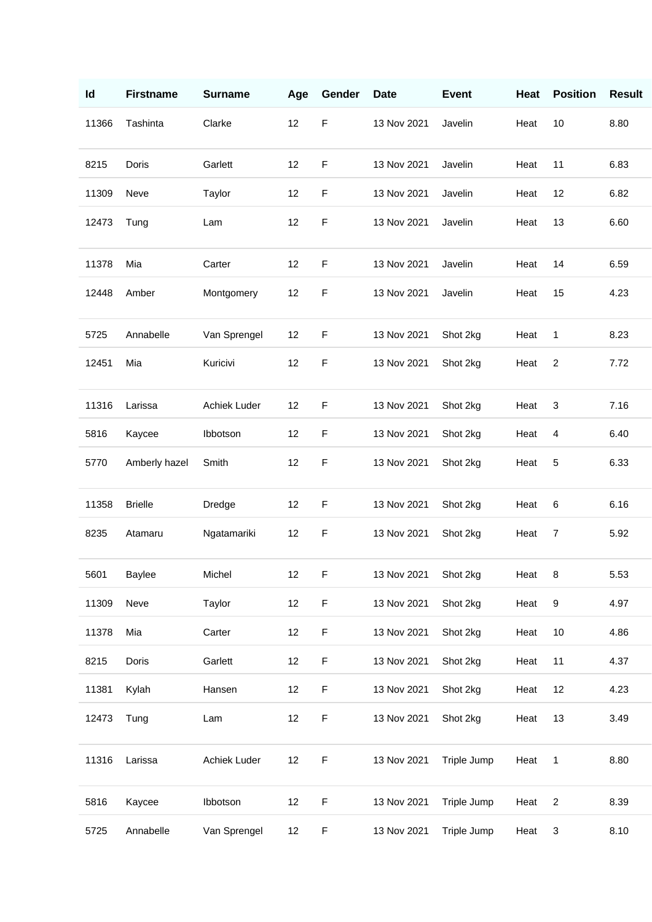| Id    | <b>Firstname</b> | <b>Surname</b> | Age | Gender      | <b>Date</b> | <b>Event</b> | Heat | <b>Position</b> | <b>Result</b> |
|-------|------------------|----------------|-----|-------------|-------------|--------------|------|-----------------|---------------|
| 11366 | Tashinta         | Clarke         | 12  | $\mathsf F$ | 13 Nov 2021 | Javelin      | Heat | 10              | 8.80          |
| 8215  | Doris            | Garlett        | 12  | $\mathsf F$ | 13 Nov 2021 | Javelin      | Heat | 11              | 6.83          |
| 11309 | Neve             | Taylor         | 12  | $\mathsf F$ | 13 Nov 2021 | Javelin      | Heat | 12              | 6.82          |
| 12473 | Tung             | Lam            | 12  | $\mathsf F$ | 13 Nov 2021 | Javelin      | Heat | 13              | 6.60          |
| 11378 | Mia              | Carter         | 12  | $\mathsf F$ | 13 Nov 2021 | Javelin      | Heat | 14              | 6.59          |
| 12448 | Amber            | Montgomery     | 12  | $\mathsf F$ | 13 Nov 2021 | Javelin      | Heat | 15              | 4.23          |
| 5725  | Annabelle        | Van Sprengel   | 12  | $\mathsf F$ | 13 Nov 2021 | Shot 2kg     | Heat | 1               | 8.23          |
| 12451 | Mia              | Kuricivi       | 12  | $\mathsf F$ | 13 Nov 2021 | Shot 2kg     | Heat | $\overline{2}$  | 7.72          |
| 11316 | Larissa          | Achiek Luder   | 12  | $\mathsf F$ | 13 Nov 2021 | Shot 2kg     | Heat | 3               | 7.16          |
| 5816  | Kaycee           | Ibbotson       | 12  | $\mathsf F$ | 13 Nov 2021 | Shot 2kg     | Heat | 4               | 6.40          |
| 5770  | Amberly hazel    | Smith          | 12  | $\mathsf F$ | 13 Nov 2021 | Shot 2kg     | Heat | 5               | 6.33          |
| 11358 | <b>Brielle</b>   | Dredge         | 12  | $\mathsf F$ | 13 Nov 2021 | Shot 2kg     | Heat | 6               | 6.16          |
| 8235  | Atamaru          | Ngatamariki    | 12  | $\mathsf F$ | 13 Nov 2021 | Shot 2kg     | Heat | $\overline{7}$  | 5.92          |
| 5601  | Baylee           | Michel         | 12  | $\mathsf F$ | 13 Nov 2021 | Shot 2kg     | Heat | 8               | 5.53          |
| 11309 | Neve             | Taylor         | 12  | $\mathsf F$ | 13 Nov 2021 | Shot 2kg     | Heat | 9               | 4.97          |
| 11378 | Mia              | Carter         | 12  | $\mathsf F$ | 13 Nov 2021 | Shot 2kg     | Heat | 10              | 4.86          |
| 8215  | Doris            | Garlett        | 12  | $\mathsf F$ | 13 Nov 2021 | Shot 2kg     | Heat | 11              | 4.37          |
| 11381 | Kylah            | Hansen         | 12  | F           | 13 Nov 2021 | Shot 2kg     | Heat | 12              | 4.23          |
| 12473 | Tung             | Lam            | 12  | $\mathsf F$ | 13 Nov 2021 | Shot 2kg     | Heat | 13              | 3.49          |
| 11316 | Larissa          | Achiek Luder   | 12  | $\mathsf F$ | 13 Nov 2021 | Triple Jump  | Heat | $\mathbf 1$     | 8.80          |
| 5816  | Kaycee           | Ibbotson       | 12  | $\mathsf F$ | 13 Nov 2021 | Triple Jump  | Heat | $\overline{c}$  | 8.39          |
| 5725  | Annabelle        | Van Sprengel   | 12  | $\mathsf F$ | 13 Nov 2021 | Triple Jump  | Heat | 3               | 8.10          |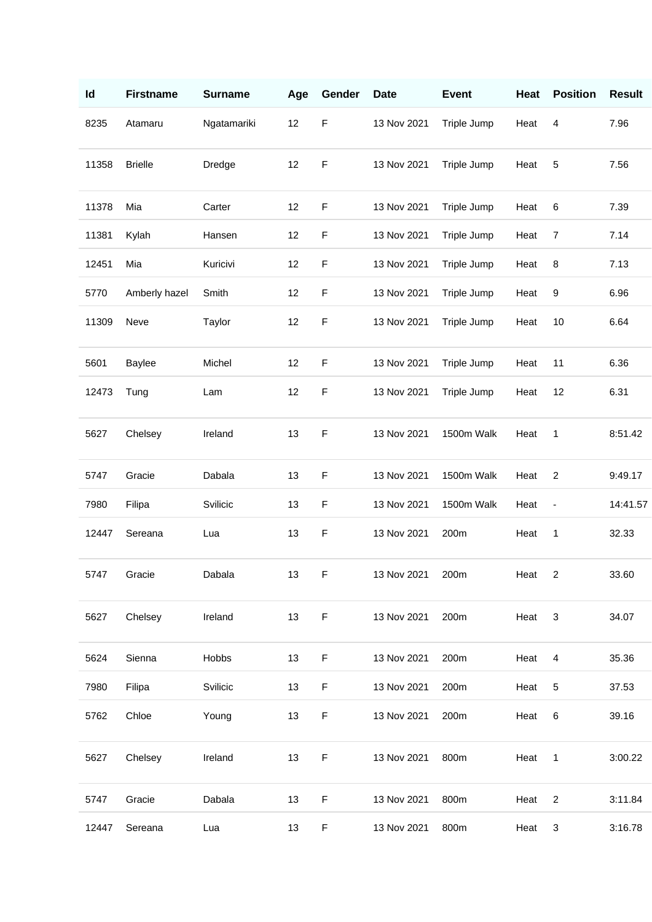| Id    | <b>Firstname</b> | <b>Surname</b> | Age | Gender      | <b>Date</b> | <b>Event</b> | Heat | <b>Position</b>              | <b>Result</b> |
|-------|------------------|----------------|-----|-------------|-------------|--------------|------|------------------------------|---------------|
| 8235  | Atamaru          | Ngatamariki    | 12  | $\mathsf F$ | 13 Nov 2021 | Triple Jump  | Heat | 4                            | 7.96          |
| 11358 | <b>Brielle</b>   | Dredge         | 12  | $\mathsf F$ | 13 Nov 2021 | Triple Jump  | Heat | 5                            | 7.56          |
| 11378 | Mia              | Carter         | 12  | $\mathsf F$ | 13 Nov 2021 | Triple Jump  | Heat | 6                            | 7.39          |
| 11381 | Kylah            | Hansen         | 12  | $\mathsf F$ | 13 Nov 2021 | Triple Jump  | Heat | 7                            | 7.14          |
| 12451 | Mia              | Kuricivi       | 12  | $\mathsf F$ | 13 Nov 2021 | Triple Jump  | Heat | 8                            | 7.13          |
| 5770  | Amberly hazel    | Smith          | 12  | $\mathsf F$ | 13 Nov 2021 | Triple Jump  | Heat | 9                            | 6.96          |
| 11309 | Neve             | Taylor         | 12  | $\mathsf F$ | 13 Nov 2021 | Triple Jump  | Heat | 10                           | 6.64          |
| 5601  | <b>Baylee</b>    | Michel         | 12  | $\mathsf F$ | 13 Nov 2021 | Triple Jump  | Heat | 11                           | 6.36          |
| 12473 | Tung             | Lam            | 12  | $\mathsf F$ | 13 Nov 2021 | Triple Jump  | Heat | 12                           | 6.31          |
| 5627  | Chelsey          | Ireland        | 13  | F           | 13 Nov 2021 | 1500m Walk   | Heat | 1                            | 8:51.42       |
| 5747  | Gracie           | Dabala         | 13  | $\mathsf F$ | 13 Nov 2021 | 1500m Walk   | Heat | $\overline{c}$               | 9:49.17       |
| 7980  | Filipa           | Svilicic       | 13  | $\mathsf F$ | 13 Nov 2021 | 1500m Walk   | Heat | $\qquad \qquad \blacksquare$ | 14:41.57      |
| 12447 | Sereana          | Lua            | 13  | $\mathsf F$ | 13 Nov 2021 | 200m         | Heat | $\mathbf{1}$                 | 32.33         |
|       | 5747 Gracie      | Dabala         | 13  | F           | 13 Nov 2021 | 200m         | Heat | $\overline{2}$               | 33.60         |
| 5627  | Chelsey          | Ireland        | 13  | $\mathsf F$ | 13 Nov 2021 | 200m         | Heat | $\mathbf{3}$                 | 34.07         |
| 5624  | Sienna           | Hobbs          | 13  | $\mathsf F$ | 13 Nov 2021 | 200m         | Heat | $\overline{\mathbf{4}}$      | 35.36         |
| 7980  | Filipa           | Svilicic       | 13  | $\mathsf F$ | 13 Nov 2021 | 200m         | Heat | $\sqrt{5}$                   | 37.53         |
| 5762  | Chloe            | Young          | 13  | $\mathsf F$ | 13 Nov 2021 | 200m         | Heat | $\,6$                        | 39.16         |
| 5627  | Chelsey          | Ireland        | 13  | $\mathsf F$ | 13 Nov 2021 | 800m         | Heat | $\overline{1}$               | 3:00.22       |
| 5747  | Gracie           | Dabala         | 13  | F           | 13 Nov 2021 | 800m         | Heat | $\overline{c}$               | 3:11.84       |
| 12447 | Sereana          | Lua            | 13  | $\mathsf F$ | 13 Nov 2021 | 800m         | Heat | 3                            | 3:16.78       |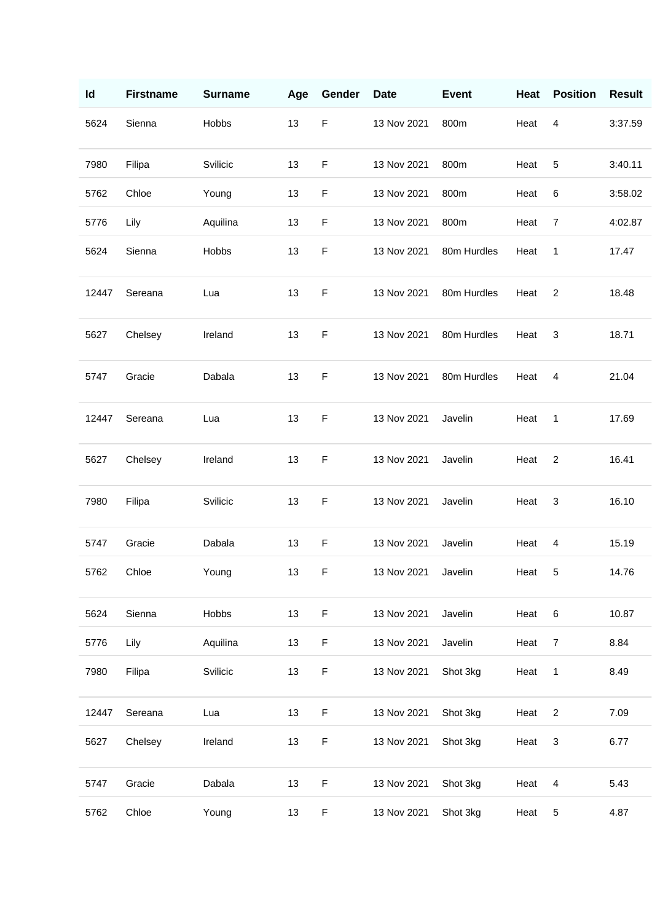| Id    | <b>Firstname</b> | <b>Surname</b> | Age | Gender      | <b>Date</b> | <b>Event</b> | Heat | <b>Position</b> | <b>Result</b> |
|-------|------------------|----------------|-----|-------------|-------------|--------------|------|-----------------|---------------|
| 5624  | Sienna           | Hobbs          | 13  | $\mathsf F$ | 13 Nov 2021 | 800m         | Heat | 4               | 3:37.59       |
| 7980  | Filipa           | Svilicic       | 13  | $\mathsf F$ | 13 Nov 2021 | 800m         | Heat | 5               | 3:40.11       |
| 5762  | Chloe            | Young          | 13  | $\mathsf F$ | 13 Nov 2021 | 800m         | Heat | 6               | 3:58.02       |
| 5776  | Lily             | Aquilina       | 13  | $\mathsf F$ | 13 Nov 2021 | 800m         | Heat | 7               | 4:02.87       |
| 5624  | Sienna           | Hobbs          | 13  | $\mathsf F$ | 13 Nov 2021 | 80m Hurdles  | Heat | 1               | 17.47         |
| 12447 | Sereana          | Lua            | 13  | $\mathsf F$ | 13 Nov 2021 | 80m Hurdles  | Heat | $\overline{c}$  | 18.48         |
| 5627  | Chelsey          | Ireland        | 13  | $\mathsf F$ | 13 Nov 2021 | 80m Hurdles  | Heat | 3               | 18.71         |
| 5747  | Gracie           | Dabala         | 13  | F           | 13 Nov 2021 | 80m Hurdles  | Heat | 4               | 21.04         |
| 12447 | Sereana          | Lua            | 13  | $\mathsf F$ | 13 Nov 2021 | Javelin      | Heat | 1               | 17.69         |
| 5627  | Chelsey          | Ireland        | 13  | $\mathsf F$ | 13 Nov 2021 | Javelin      | Heat | $\overline{2}$  | 16.41         |
| 7980  | Filipa           | Svilicic       | 13  | $\mathsf F$ | 13 Nov 2021 | Javelin      | Heat | 3               | 16.10         |
| 5747  | Gracie           | Dabala         | 13  | $\mathsf F$ | 13 Nov 2021 | Javelin      | Heat | 4               | 15.19         |
| 5762  | Chloe            | Young          | 13  | F           | 13 Nov 2021 | Javelin      | Heat | 5               | 14.76         |
| 5624  | Sienna           | Hobbs          | 13  | $\mathsf F$ | 13 Nov 2021 | Javelin      | Heat | $\,6$           | 10.87         |
| 5776  | Lily             | Aquilina       | 13  | $\mathsf F$ | 13 Nov 2021 | Javelin      | Heat | $\overline{7}$  | 8.84          |
| 7980  | Filipa           | Svilicic       | 13  | $\mathsf F$ | 13 Nov 2021 | Shot 3kg     | Heat | $\mathbf{1}$    | 8.49          |
| 12447 | Sereana          | Lua            | 13  | $\mathsf F$ | 13 Nov 2021 | Shot 3kg     | Heat | $\overline{c}$  | 7.09          |
| 5627  | Chelsey          | Ireland        | 13  | $\mathsf F$ | 13 Nov 2021 | Shot 3kg     | Heat | $\sqrt{3}$      | 6.77          |
| 5747  | Gracie           | Dabala         | 13  | F           | 13 Nov 2021 | Shot 3kg     | Heat | 4               | 5.43          |
| 5762  | Chloe            | Young          | 13  | $\mathsf F$ | 13 Nov 2021 | Shot 3kg     | Heat | 5               | 4.87          |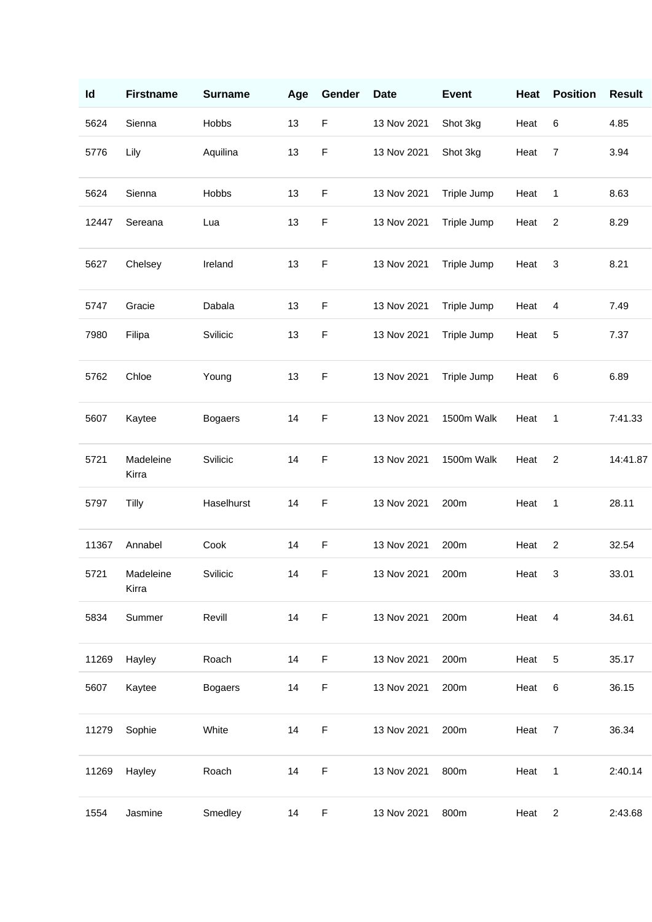| Id    | <b>Firstname</b>   | <b>Surname</b> | Age | Gender      | <b>Date</b> | <b>Event</b> | Heat   | <b>Position</b> | <b>Result</b> |
|-------|--------------------|----------------|-----|-------------|-------------|--------------|--------|-----------------|---------------|
| 5624  | Sienna             | Hobbs          | 13  | $\mathsf F$ | 13 Nov 2021 | Shot 3kg     | Heat   | 6               | 4.85          |
| 5776  | Lily               | Aquilina       | 13  | $\mathsf F$ | 13 Nov 2021 | Shot 3kg     | Heat   | $\overline{7}$  | 3.94          |
| 5624  | Sienna             | Hobbs          | 13  | $\mathsf F$ | 13 Nov 2021 | Triple Jump  | Heat   | 1               | 8.63          |
| 12447 | Sereana            | Lua            | 13  | $\mathsf F$ | 13 Nov 2021 | Triple Jump  | Heat   | $\overline{2}$  | 8.29          |
| 5627  | Chelsey            | Ireland        | 13  | $\mathsf F$ | 13 Nov 2021 | Triple Jump  | Heat   | 3               | 8.21          |
| 5747  | Gracie             | Dabala         | 13  | F           | 13 Nov 2021 | Triple Jump  | Heat   | 4               | 7.49          |
| 7980  | Filipa             | Svilicic       | 13  | $\mathsf F$ | 13 Nov 2021 | Triple Jump  | Heat   | 5               | 7.37          |
| 5762  | Chloe              | Young          | 13  | F           | 13 Nov 2021 | Triple Jump  | Heat   | 6               | 6.89          |
| 5607  | Kaytee             | <b>Bogaers</b> | 14  | $\mathsf F$ | 13 Nov 2021 | 1500m Walk   | Heat   | 1               | 7:41.33       |
| 5721  | Madeleine<br>Kirra | Svilicic       | 14  | $\mathsf F$ | 13 Nov 2021 | 1500m Walk   | Heat   | $\overline{2}$  | 14:41.87      |
| 5797  | Tilly              | Haselhurst     | 14  | $\mathsf F$ | 13 Nov 2021 | 200m         | Heat   | 1               | 28.11         |
| 11367 | Annabel            | Cook           | 14  | $\mathsf F$ | 13 Nov 2021 | 200m         | Heat   | $\overline{2}$  | 32.54         |
| 5721  | Madeleine<br>Kirra | Svilicic       | 14  | F           | 13 Nov 2021 | 200m         | Heat 3 |                 | 33.01         |
| 5834  | Summer             | Revill         | 14  | $\mathsf F$ | 13 Nov 2021 | 200m         | Heat   | $\overline{4}$  | 34.61         |
| 11269 | Hayley             | Roach          | 14  | $\mathsf F$ | 13 Nov 2021 | 200m         | Heat   | 5               | 35.17         |
| 5607  | Kaytee             | <b>Bogaers</b> | 14  | $\mathsf F$ | 13 Nov 2021 | 200m         | Heat   | 6               | 36.15         |
| 11279 | Sophie             | White          | 14  | $\mathsf F$ | 13 Nov 2021 | 200m         | Heat   | $\overline{7}$  | 36.34         |
| 11269 | Hayley             | Roach          | 14  | $\mathsf F$ | 13 Nov 2021 | 800m         | Heat   | 1               | 2:40.14       |
| 1554  | Jasmine            | Smedley        | 14  | $\mathsf F$ | 13 Nov 2021 | 800m         | Heat   | $\overline{c}$  | 2:43.68       |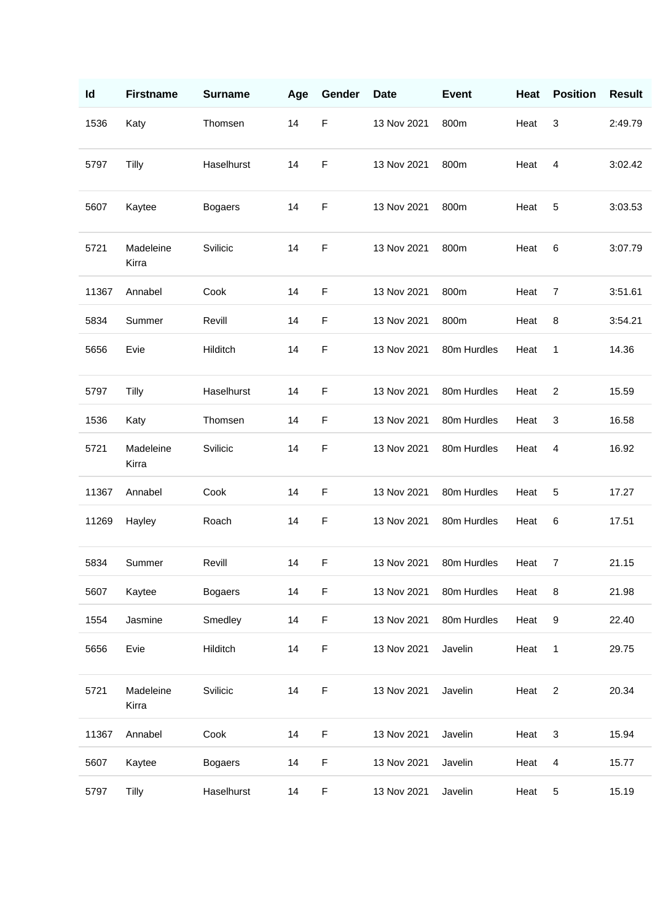| ld    | <b>Firstname</b>   | <b>Surname</b> | Age | Gender      | <b>Date</b> | <b>Event</b> | Heat | <b>Position</b> | <b>Result</b> |
|-------|--------------------|----------------|-----|-------------|-------------|--------------|------|-----------------|---------------|
| 1536  | Katy               | Thomsen        | 14  | $\mathsf F$ | 13 Nov 2021 | 800m         | Heat | 3               | 2:49.79       |
| 5797  | Tilly              | Haselhurst     | 14  | F           | 13 Nov 2021 | 800m         | Heat | 4               | 3:02.42       |
| 5607  | Kaytee             | <b>Bogaers</b> | 14  | $\mathsf F$ | 13 Nov 2021 | 800m         | Heat | 5               | 3:03.53       |
| 5721  | Madeleine<br>Kirra | Svilicic       | 14  | $\mathsf F$ | 13 Nov 2021 | 800m         | Heat | 6               | 3:07.79       |
| 11367 | Annabel            | Cook           | 14  | $\mathsf F$ | 13 Nov 2021 | 800m         | Heat | 7               | 3:51.61       |
| 5834  | Summer             | Revill         | 14  | $\mathsf F$ | 13 Nov 2021 | 800m         | Heat | 8               | 3:54.21       |
| 5656  | Evie               | Hilditch       | 14  | F           | 13 Nov 2021 | 80m Hurdles  | Heat | 1               | 14.36         |
| 5797  | Tilly              | Haselhurst     | 14  | $\mathsf F$ | 13 Nov 2021 | 80m Hurdles  | Heat | $\overline{2}$  | 15.59         |
| 1536  | Katy               | Thomsen        | 14  | F           | 13 Nov 2021 | 80m Hurdles  | Heat | 3               | 16.58         |
| 5721  | Madeleine<br>Kirra | Svilicic       | 14  | $\mathsf F$ | 13 Nov 2021 | 80m Hurdles  | Heat | 4               | 16.92         |
| 11367 | Annabel            | Cook           | 14  | $\mathsf F$ | 13 Nov 2021 | 80m Hurdles  | Heat | 5               | 17.27         |
| 11269 | Hayley             | Roach          | 14  | F           | 13 Nov 2021 | 80m Hurdles  | Heat | 6               | 17.51         |
| 5834  | Summer             | Revill         | 14  | $\mathsf F$ | 13 Nov 2021 | 80m Hurdles  | Heat | $\overline{7}$  | 21.15         |
| 5607  | Kaytee             | <b>Bogaers</b> | 14  | $\mathsf F$ | 13 Nov 2021 | 80m Hurdles  | Heat | 8               | 21.98         |
| 1554  | Jasmine            | Smedley        | 14  | $\mathsf F$ | 13 Nov 2021 | 80m Hurdles  | Heat | 9               | 22.40         |
| 5656  | Evie               | Hilditch       | 14  | $\mathsf F$ | 13 Nov 2021 | Javelin      | Heat | 1               | 29.75         |
| 5721  | Madeleine<br>Kirra | Svilicic       | 14  | F           | 13 Nov 2021 | Javelin      | Heat | $\overline{c}$  | 20.34         |
| 11367 | Annabel            | Cook           | 14  | $\mathsf F$ | 13 Nov 2021 | Javelin      | Heat | 3               | 15.94         |
| 5607  | Kaytee             | <b>Bogaers</b> | 14  | F           | 13 Nov 2021 | Javelin      | Heat | 4               | 15.77         |
| 5797  | <b>Tilly</b>       | Haselhurst     | 14  | F           | 13 Nov 2021 | Javelin      | Heat | 5               | 15.19         |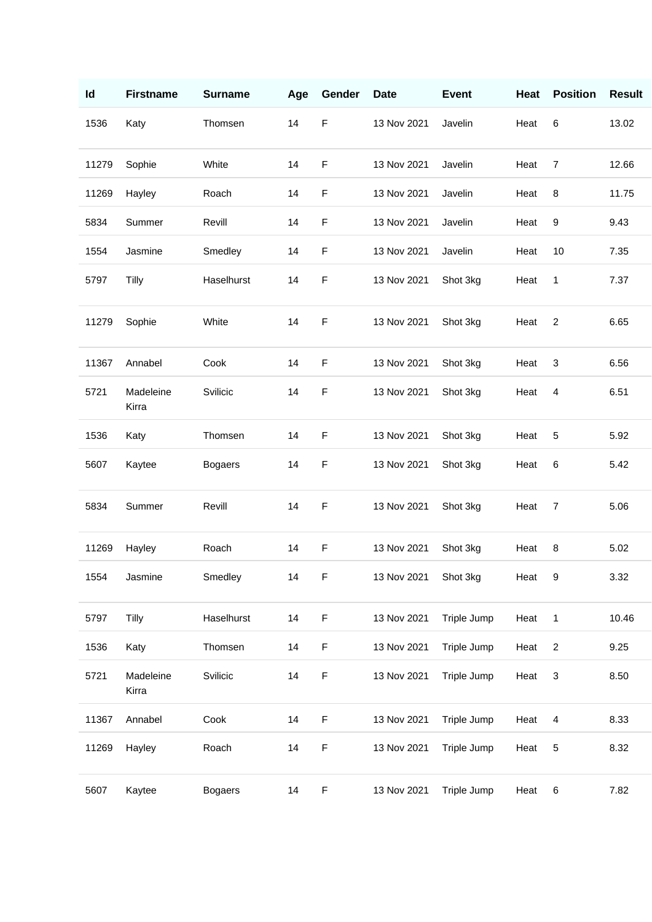| Id    | <b>Firstname</b>   | <b>Surname</b> | Age | Gender      | <b>Date</b> | <b>Event</b> | Heat | <b>Position</b> | <b>Result</b> |
|-------|--------------------|----------------|-----|-------------|-------------|--------------|------|-----------------|---------------|
| 1536  | Katy               | Thomsen        | 14  | $\mathsf F$ | 13 Nov 2021 | Javelin      | Heat | 6               | 13.02         |
| 11279 | Sophie             | White          | 14  | $\mathsf F$ | 13 Nov 2021 | Javelin      | Heat | $\overline{7}$  | 12.66         |
| 11269 | Hayley             | Roach          | 14  | $\mathsf F$ | 13 Nov 2021 | Javelin      | Heat | 8               | 11.75         |
| 5834  | Summer             | Revill         | 14  | $\mathsf F$ | 13 Nov 2021 | Javelin      | Heat | 9               | 9.43          |
| 1554  | Jasmine            | Smedley        | 14  | $\mathsf F$ | 13 Nov 2021 | Javelin      | Heat | 10              | 7.35          |
| 5797  | Tilly              | Haselhurst     | 14  | $\mathsf F$ | 13 Nov 2021 | Shot 3kg     | Heat | 1               | 7.37          |
| 11279 | Sophie             | White          | 14  | $\mathsf F$ | 13 Nov 2021 | Shot 3kg     | Heat | $\overline{2}$  | 6.65          |
| 11367 | Annabel            | Cook           | 14  | $\mathsf F$ | 13 Nov 2021 | Shot 3kg     | Heat | 3               | 6.56          |
| 5721  | Madeleine<br>Kirra | Svilicic       | 14  | $\mathsf F$ | 13 Nov 2021 | Shot 3kg     | Heat | 4               | 6.51          |
| 1536  | Katy               | Thomsen        | 14  | F           | 13 Nov 2021 | Shot 3kg     | Heat | 5               | 5.92          |
| 5607  | Kaytee             | <b>Bogaers</b> | 14  | $\mathsf F$ | 13 Nov 2021 | Shot 3kg     | Heat | 6               | 5.42          |
| 5834  | Summer             | Revill         | 14  | $\mathsf F$ | 13 Nov 2021 | Shot 3kg     | Heat | $\overline{7}$  | 5.06          |
| 11269 | Hayley             | Roach          | 14  | $\mathsf F$ | 13 Nov 2021 | Shot 3kg     | Heat | 8               | 5.02          |
| 1554  | Jasmine            | Smedley        | 14  | F           | 13 Nov 2021 | Shot 3kg     | Heat | 9               | 3.32          |
| 5797  | Tilly              | Haselhurst     | 14  | $\mathsf F$ | 13 Nov 2021 | Triple Jump  | Heat | $\mathbf{1}$    | 10.46         |
| 1536  | Katy               | Thomsen        | 14  | $\mathsf F$ | 13 Nov 2021 | Triple Jump  | Heat | $\overline{c}$  | 9.25          |
| 5721  | Madeleine<br>Kirra | Svilicic       | 14  | F           | 13 Nov 2021 | Triple Jump  | Heat | 3               | 8.50          |
| 11367 | Annabel            | Cook           | 14  | $\mathsf F$ | 13 Nov 2021 | Triple Jump  | Heat | 4               | 8.33          |
| 11269 | Hayley             | Roach          | 14  | $\mathsf F$ | 13 Nov 2021 | Triple Jump  | Heat | 5               | 8.32          |
| 5607  | Kaytee             | <b>Bogaers</b> | 14  | $\mathsf F$ | 13 Nov 2021 | Triple Jump  | Heat | 6               | 7.82          |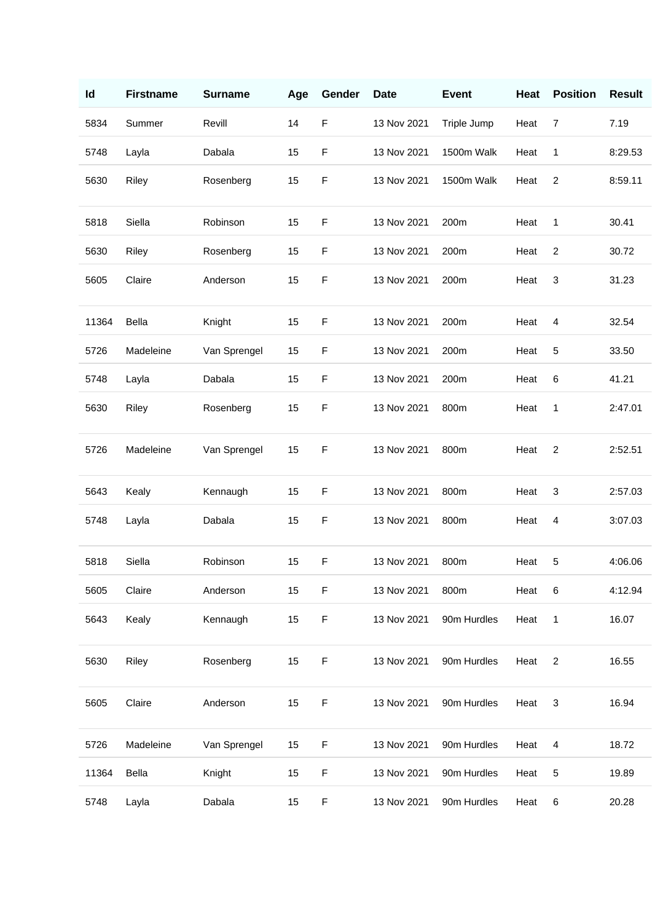| Id    | <b>Firstname</b> | <b>Surname</b> | Age | Gender      | <b>Date</b> | <b>Event</b> | Heat | <b>Position</b> | <b>Result</b> |
|-------|------------------|----------------|-----|-------------|-------------|--------------|------|-----------------|---------------|
| 5834  | Summer           | Revill         | 14  | $\mathsf F$ | 13 Nov 2021 | Triple Jump  | Heat | $\overline{7}$  | 7.19          |
| 5748  | Layla            | Dabala         | 15  | $\mathsf F$ | 13 Nov 2021 | 1500m Walk   | Heat | 1               | 8:29.53       |
| 5630  | Riley            | Rosenberg      | 15  | $\mathsf F$ | 13 Nov 2021 | 1500m Walk   | Heat | $\overline{c}$  | 8:59.11       |
| 5818  | Siella           | Robinson       | 15  | $\mathsf F$ | 13 Nov 2021 | 200m         | Heat | 1               | 30.41         |
| 5630  | Riley            | Rosenberg      | 15  | F           | 13 Nov 2021 | 200m         | Heat | $\overline{c}$  | 30.72         |
| 5605  | Claire           | Anderson       | 15  | $\mathsf F$ | 13 Nov 2021 | 200m         | Heat | 3               | 31.23         |
| 11364 | Bella            | Knight         | 15  | $\mathsf F$ | 13 Nov 2021 | 200m         | Heat | 4               | 32.54         |
| 5726  | Madeleine        | Van Sprengel   | 15  | $\mathsf F$ | 13 Nov 2021 | 200m         | Heat | 5               | 33.50         |
| 5748  | Layla            | Dabala         | 15  | $\mathsf F$ | 13 Nov 2021 | 200m         | Heat | 6               | 41.21         |
| 5630  | Riley            | Rosenberg      | 15  | $\mathsf F$ | 13 Nov 2021 | 800m         | Heat | 1               | 2:47.01       |
| 5726  | Madeleine        | Van Sprengel   | 15  | F           | 13 Nov 2021 | 800m         | Heat | 2               | 2:52.51       |
| 5643  | Kealy            | Kennaugh       | 15  | $\mathsf F$ | 13 Nov 2021 | 800m         | Heat | 3               | 2:57.03       |
| 5748  | Layla            | Dabala         | 15  | $\mathsf F$ | 13 Nov 2021 | 800m         | Heat | 4               | 3:07.03       |
| 5818  | Siella           | Robinson       | 15  | F           | 13 Nov 2021 | 800m         | Heat | 5               | 4:06.06       |
| 5605  | Claire           | Anderson       | 15  | $\mathsf F$ | 13 Nov 2021 | 800m         | Heat | 6               | 4:12.94       |
| 5643  | Kealy            | Kennaugh       | 15  | $\mathsf F$ | 13 Nov 2021 | 90m Hurdles  | Heat | $\mathbf{1}$    | 16.07         |
| 5630  | Riley            | Rosenberg      | 15  | $\mathsf F$ | 13 Nov 2021 | 90m Hurdles  | Heat | $\overline{2}$  | 16.55         |
| 5605  | Claire           | Anderson       | 15  | F           | 13 Nov 2021 | 90m Hurdles  | Heat | 3               | 16.94         |
| 5726  | Madeleine        | Van Sprengel   | 15  | $\mathsf F$ | 13 Nov 2021 | 90m Hurdles  | Heat | $\overline{4}$  | 18.72         |
| 11364 | Bella            | Knight         | 15  | F           | 13 Nov 2021 | 90m Hurdles  | Heat | 5               | 19.89         |
| 5748  | Layla            | Dabala         | 15  | $\mathsf F$ | 13 Nov 2021 | 90m Hurdles  | Heat | $\,6$           | 20.28         |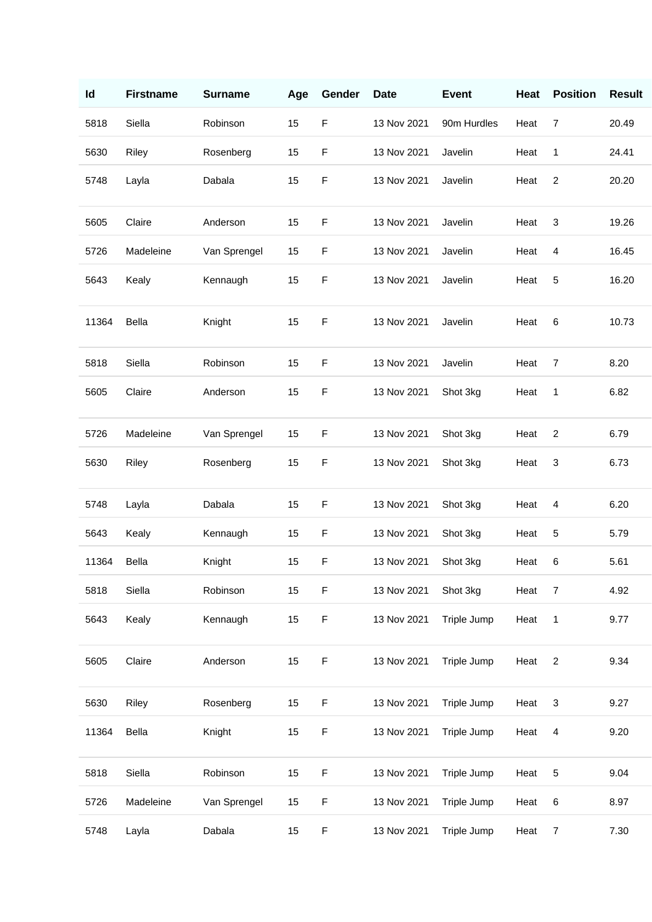| Id    | <b>Firstname</b> | <b>Surname</b> | Age | Gender      | <b>Date</b> | <b>Event</b> | Heat | <b>Position</b> | <b>Result</b> |
|-------|------------------|----------------|-----|-------------|-------------|--------------|------|-----------------|---------------|
| 5818  | Siella           | Robinson       | 15  | $\mathsf F$ | 13 Nov 2021 | 90m Hurdles  | Heat | $\overline{7}$  | 20.49         |
| 5630  | Riley            | Rosenberg      | 15  | $\mathsf F$ | 13 Nov 2021 | Javelin      | Heat | 1               | 24.41         |
| 5748  | Layla            | Dabala         | 15  | $\mathsf F$ | 13 Nov 2021 | Javelin      | Heat | $\overline{c}$  | 20.20         |
| 5605  | Claire           | Anderson       | 15  | $\mathsf F$ | 13 Nov 2021 | Javelin      | Heat | 3               | 19.26         |
| 5726  | Madeleine        | Van Sprengel   | 15  | F           | 13 Nov 2021 | Javelin      | Heat | 4               | 16.45         |
| 5643  | Kealy            | Kennaugh       | 15  | $\mathsf F$ | 13 Nov 2021 | Javelin      | Heat | 5               | 16.20         |
| 11364 | Bella            | Knight         | 15  | $\mathsf F$ | 13 Nov 2021 | Javelin      | Heat | 6               | 10.73         |
| 5818  | Siella           | Robinson       | 15  | $\mathsf F$ | 13 Nov 2021 | Javelin      | Heat | $\overline{7}$  | 8.20          |
| 5605  | Claire           | Anderson       | 15  | $\mathsf F$ | 13 Nov 2021 | Shot 3kg     | Heat | 1               | 6.82          |
| 5726  | Madeleine        | Van Sprengel   | 15  | F           | 13 Nov 2021 | Shot 3kg     | Heat | $\overline{c}$  | 6.79          |
| 5630  | Riley            | Rosenberg      | 15  | F           | 13 Nov 2021 | Shot 3kg     | Heat | 3               | 6.73          |
| 5748  | Layla            | Dabala         | 15  | $\mathsf F$ | 13 Nov 2021 | Shot 3kg     | Heat | 4               | 6.20          |
| 5643  | Kealy            | Kennaugh       | 15  | $\mathsf F$ | 13 Nov 2021 | Shot 3kg     | Heat | 5               | 5.79          |
| 11364 | Bella            | Knight         | 15  | $\mathsf F$ | 13 Nov 2021 | Shot 3kg     | Heat | 6               | 5.61          |
| 5818  | Siella           | Robinson       | 15  | $\mathsf F$ | 13 Nov 2021 | Shot 3kg     | Heat | $\overline{7}$  | 4.92          |
| 5643  | Kealy            | Kennaugh       | 15  | $\mathsf F$ | 13 Nov 2021 | Triple Jump  | Heat | $\mathbf{1}$    | 9.77          |
| 5605  | Claire           | Anderson       | 15  | $\mathsf F$ | 13 Nov 2021 | Triple Jump  | Heat | $\overline{2}$  | 9.34          |
| 5630  | Riley            | Rosenberg      | 15  | F           | 13 Nov 2021 | Triple Jump  | Heat | 3               | 9.27          |
| 11364 | Bella            | Knight         | 15  | $\mathsf F$ | 13 Nov 2021 | Triple Jump  | Heat | $\overline{4}$  | 9.20          |
| 5818  | Siella           | Robinson       | 15  | $\mathsf F$ | 13 Nov 2021 | Triple Jump  | Heat | 5               | 9.04          |
| 5726  | Madeleine        | Van Sprengel   | 15  | $\mathsf F$ | 13 Nov 2021 | Triple Jump  | Heat | 6               | 8.97          |
| 5748  | Layla            | Dabala         | 15  | $\mathsf F$ | 13 Nov 2021 | Triple Jump  | Heat | $\overline{7}$  | 7.30          |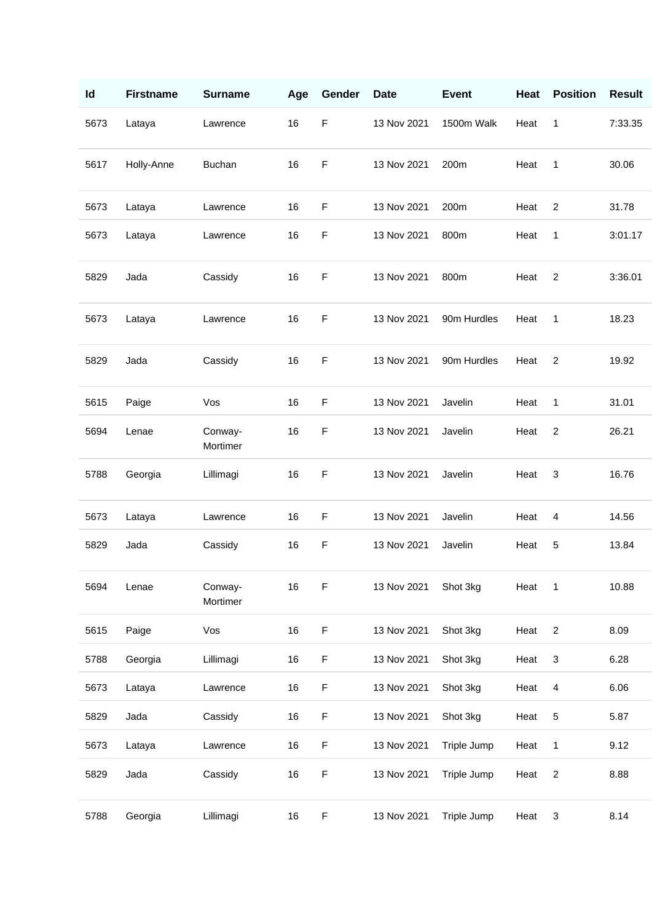| Id   | <b>Firstname</b> | <b>Surname</b>      | Age | Gender      | <b>Date</b> | <b>Event</b> | Heat | <b>Position</b>         | <b>Result</b> |
|------|------------------|---------------------|-----|-------------|-------------|--------------|------|-------------------------|---------------|
| 5673 | Lataya           | Lawrence            | 16  | $\mathsf F$ | 13 Nov 2021 | 1500m Walk   | Heat | 1                       | 7:33.35       |
| 5617 | Holly-Anne       | <b>Buchan</b>       | 16  | $\mathsf F$ | 13 Nov 2021 | 200m         | Heat | 1                       | 30.06         |
| 5673 | Lataya           | Lawrence            | 16  | $\mathsf F$ | 13 Nov 2021 | 200m         | Heat | $\overline{2}$          | 31.78         |
| 5673 | Lataya           | Lawrence            | 16  | $\mathsf F$ | 13 Nov 2021 | 800m         | Heat | 1                       | 3:01.17       |
| 5829 | Jada             | Cassidy             | 16  | $\mathsf F$ | 13 Nov 2021 | 800m         | Heat | $\overline{c}$          | 3:36.01       |
| 5673 | Lataya           | Lawrence            | 16  | $\mathsf F$ | 13 Nov 2021 | 90m Hurdles  | Heat | 1                       | 18.23         |
| 5829 | Jada             | Cassidy             | 16  | $\mathsf F$ | 13 Nov 2021 | 90m Hurdles  | Heat | $\overline{2}$          | 19.92         |
| 5615 | Paige            | Vos                 | 16  | $\mathsf F$ | 13 Nov 2021 | Javelin      | Heat | 1                       | 31.01         |
| 5694 | Lenae            | Conway-<br>Mortimer | 16  | $\mathsf F$ | 13 Nov 2021 | Javelin      | Heat | $\overline{2}$          | 26.21         |
| 5788 | Georgia          | Lillimagi           | 16  | $\mathsf F$ | 13 Nov 2021 | Javelin      | Heat | 3                       | 16.76         |
| 5673 | Lataya           | Lawrence            | 16  | $\mathsf F$ | 13 Nov 2021 | Javelin      | Heat | 4                       | 14.56         |
| 5829 | Jada             | Cassidy             | 16  | $\mathsf F$ | 13 Nov 2021 | Javelin      | Heat | 5                       | 13.84         |
| 5694 | Lenae            | Conway-<br>Mortimer | 16  | F           | 13 Nov 2021 | Shot 3kg     | Heat | $\mathbf{1}$            | 10.88         |
| 5615 | Paige            | Vos                 | 16  | $\mathsf F$ | 13 Nov 2021 | Shot 3kg     | Heat | $\overline{\mathbf{c}}$ | 8.09          |
| 5788 | Georgia          | Lillimagi           | 16  | $\mathsf F$ | 13 Nov 2021 | Shot 3kg     | Heat | 3                       | 6.28          |
| 5673 | Lataya           | Lawrence            | 16  | $\mathsf F$ | 13 Nov 2021 | Shot 3kg     | Heat | 4                       | 6.06          |
| 5829 | Jada             | Cassidy             | 16  | F           | 13 Nov 2021 | Shot 3kg     | Heat | 5                       | 5.87          |
| 5673 | Lataya           | Lawrence            | 16  | $\mathsf F$ | 13 Nov 2021 | Triple Jump  | Heat | 1                       | 9.12          |
| 5829 | Jada             | Cassidy             | 16  | $\mathsf F$ | 13 Nov 2021 | Triple Jump  | Heat | $\overline{c}$          | 8.88          |
| 5788 | Georgia          | Lillimagi           | 16  | $\mathsf F$ | 13 Nov 2021 | Triple Jump  | Heat | 3                       | 8.14          |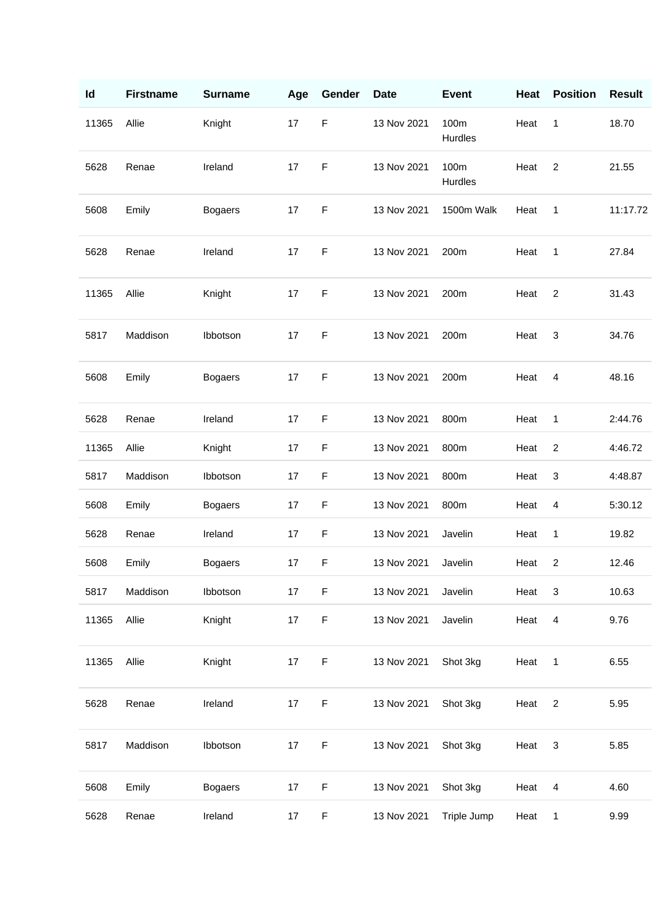| Id    | <b>Firstname</b> | <b>Surname</b> | Age | Gender      | <b>Date</b> | <b>Event</b>    | Heat | <b>Position</b> | <b>Result</b> |
|-------|------------------|----------------|-----|-------------|-------------|-----------------|------|-----------------|---------------|
| 11365 | Allie            | Knight         | 17  | $\mathsf F$ | 13 Nov 2021 | 100m<br>Hurdles | Heat | 1               | 18.70         |
| 5628  | Renae            | Ireland        | 17  | $\mathsf F$ | 13 Nov 2021 | 100m<br>Hurdles | Heat | $\overline{2}$  | 21.55         |
| 5608  | Emily            | <b>Bogaers</b> | 17  | F           | 13 Nov 2021 | 1500m Walk      | Heat | 1               | 11:17.72      |
| 5628  | Renae            | Ireland        | 17  | $\mathsf F$ | 13 Nov 2021 | 200m            | Heat | 1               | 27.84         |
| 11365 | Allie            | Knight         | 17  | $\mathsf F$ | 13 Nov 2021 | 200m            | Heat | $\overline{2}$  | 31.43         |
| 5817  | Maddison         | Ibbotson       | 17  | $\mathsf F$ | 13 Nov 2021 | 200m            | Heat | 3               | 34.76         |
| 5608  | Emily            | <b>Bogaers</b> | 17  | F           | 13 Nov 2021 | 200m            | Heat | 4               | 48.16         |
| 5628  | Renae            | Ireland        | 17  | $\mathsf F$ | 13 Nov 2021 | 800m            | Heat | 1               | 2:44.76       |
| 11365 | Allie            | Knight         | 17  | $\mathsf F$ | 13 Nov 2021 | 800m            | Heat | $\overline{c}$  | 4:46.72       |
| 5817  | Maddison         | Ibbotson       | 17  | F           | 13 Nov 2021 | 800m            | Heat | 3               | 4:48.87       |
| 5608  | Emily            | <b>Bogaers</b> | 17  | $\mathsf F$ | 13 Nov 2021 | 800m            | Heat | 4               | 5:30.12       |
| 5628  | Renae            | Ireland        | 17  | $\mathsf F$ | 13 Nov 2021 | Javelin         | Heat | 1               | 19.82         |
| 5608  | Emily            | <b>Bogaers</b> | 17  | $\mathsf F$ | 13 Nov 2021 | Javelin         | Heat | $\overline{2}$  | 12.46         |
| 5817  | Maddison         | Ibbotson       | 17  | $\mathsf F$ | 13 Nov 2021 | Javelin         | Heat | 3               | 10.63         |
| 11365 | Allie            | Knight         | 17  | $\mathsf F$ | 13 Nov 2021 | Javelin         | Heat | $\overline{4}$  | 9.76          |
| 11365 | Allie            | Knight         | 17  | $\mathsf F$ | 13 Nov 2021 | Shot 3kg        | Heat | $\mathbf{1}$    | 6.55          |
| 5628  | Renae            | Ireland        | 17  | F           | 13 Nov 2021 | Shot 3kg        | Heat | $\overline{2}$  | 5.95          |
| 5817  | Maddison         | Ibbotson       | 17  | F           | 13 Nov 2021 | Shot 3kg        | Heat | $\sqrt{3}$      | 5.85          |
| 5608  | Emily            | <b>Bogaers</b> | 17  | $\mathsf F$ | 13 Nov 2021 | Shot 3kg        | Heat | 4               | 4.60          |
| 5628  | Renae            | Ireland        | 17  | $\mathsf F$ | 13 Nov 2021 | Triple Jump     | Heat | $\mathbf{1}$    | 9.99          |